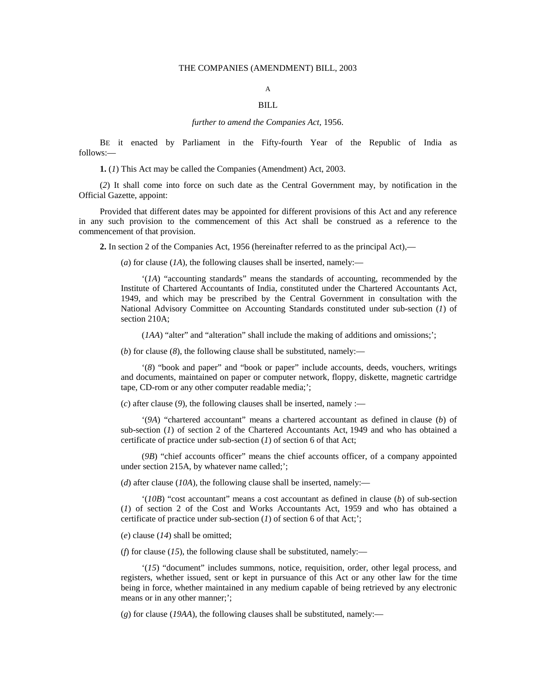#### THE COMPANIES (AMENDMENT) BILL, 2003

# A

## BILL

#### *further to amend the Companies Act,* 1956.

BE it enacted by Parliament in the Fifty-fourth Year of the Republic of India as follows:—

**1.** (*1*) This Act may be called the Companies (Amendment) Act, 2003.

(*2*) It shall come into force on such date as the Central Government may, by notification in the Official Gazette, appoint:

Provided that different dates may be appointed for different provisions of this Act and any reference in any such provision to the commencement of this Act shall be construed as a reference to the commencement of that provision.

**2.** In section 2 of the Companies Act, 1956 (hereinafter referred to as the principal Act),—

(*a*) for clause (*1A*), the following clauses shall be inserted, namely:—

'(*1A*) "accounting standards" means the standards of accounting, recommended by the Institute of Chartered Accountants of India, constituted under the Chartered Accountants Act, 1949, and which may be prescribed by the Central Government in consultation with the National Advisory Committee on Accounting Standards constituted under sub-section (*1*) of section 210A;

(*IAA*) "alter" and "alteration" shall include the making of additions and omissions;";

(*b*) for clause (*8*), the following clause shall be substituted, namely:—

'(*8*) "book and paper" and "book or paper" include accounts, deeds, vouchers, writings and documents, maintained on paper or computer network, floppy, diskette, magnetic cartridge tape, CD-rom or any other computer readable media;';

 $(c)$  after clause (9), the following clauses shall be inserted, namely :—

'(*9A*) "chartered accountant" means a chartered accountant as defined in clause (*b*) of sub-section (*1*) of section 2 of the Chartered Accountants Act, 1949 and who has obtained a certificate of practice under sub-section (*1*) of section 6 of that Act;

(*9B*) "chief accounts officer" means the chief accounts officer, of a company appointed under section 215A, by whatever name called;';

(*d*) after clause (*10A*), the following clause shall be inserted, namely:—

'(*10B*) "cost accountant" means a cost accountant as defined in clause (*b*) of sub-section (*1*) of section 2 of the Cost and Works Accountants Act, 1959 and who has obtained a certificate of practice under sub-section (*1*) of section 6 of that Act;';

(*e*) clause (*14*) shall be omitted;

(*f*) for clause (*15*), the following clause shall be substituted, namely:—

'(*15*) "document" includes summons, notice, requisition, order, other legal process, and registers, whether issued, sent or kept in pursuance of this Act or any other law for the time being in force, whether maintained in any medium capable of being retrieved by any electronic means or in any other manner;';

(*g*) for clause (*19AA*), the following clauses shall be substituted, namely:—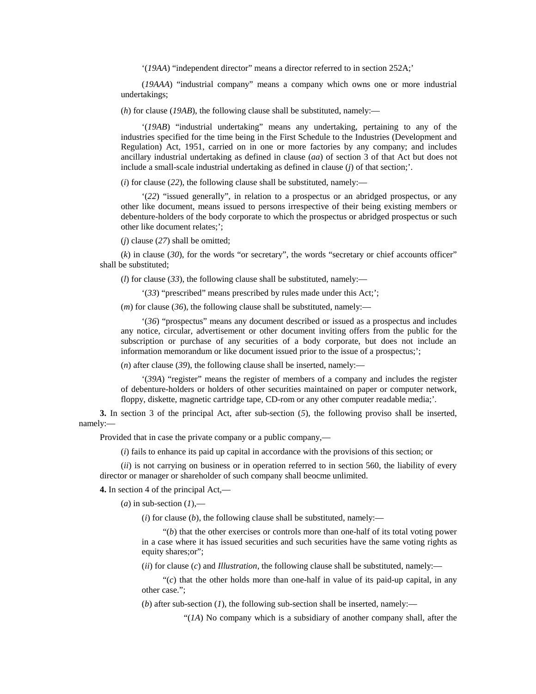'(*19AA*) "independent director" means a director referred to in section 252A;'

(*19AAA*) "industrial company" means a company which owns one or more industrial undertakings;

(*h*) for clause (*19AB*), the following clause shall be substituted, namely:—

'(*19AB*) "industrial undertaking" means any undertaking, pertaining to any of the industries specified for the time being in the First Schedule to the Industries (Development and Regulation) Act, 1951, carried on in one or more factories by any company; and includes ancillary industrial undertaking as defined in clause (*aa*) of section 3 of that Act but does not include a small-scale industrial undertaking as defined in clause (*j*) of that section;'.

(*i*) for clause (*22*), the following clause shall be substituted, namely:—

'(*22*) "issued generally", in relation to a prospectus or an abridged prospectus, or any other like document, means issued to persons irrespective of their being existing members or debenture-holders of the body corporate to which the prospectus or abridged prospectus or such other like document relates;';

(*j*) clause (*27*) shall be omitted;

(*k*) in clause (*30*), for the words "or secretary", the words "secretary or chief accounts officer" shall be substituted;

(*l*) for clause (*33*), the following clause shall be substituted, namely:—

'(*33*) "prescribed" means prescribed by rules made under this Act;';

 $(m)$  for clause (36), the following clause shall be substituted, namely:—

'(*36*) "prospectus" means any document described or issued as a prospectus and includes any notice, circular, advertisement or other document inviting offers from the public for the subscription or purchase of any securities of a body corporate, but does not include an information memorandum or like document issued prior to the issue of a prospectus;';

(*n*) after clause (*39*), the following clause shall be inserted, namely:—

'(*39A*) "register" means the register of members of a company and includes the register of debenture-holders or holders of other securities maintained on paper or computer network, floppy, diskette, magnetic cartridge tape, CD-rom or any other computer readable media;'.

**3.** In section 3 of the principal Act, after sub-section (*5*), the following proviso shall be inserted, namely:—

Provided that in case the private company or a public company,—

(*i*) fails to enhance its paid up capital in accordance with the provisions of this section; or

(*ii*) is not carrying on business or in operation referred to in section 560, the liability of every director or manager or shareholder of such company shall beocme unlimited.

**4.** In section 4 of the principal Act,—

 $(a)$  in sub-section  $(I)$ ,—

 $(i)$  for clause  $(b)$ , the following clause shall be substituted, namely:—

"(*b*) that the other exercises or controls more than one-half of its total voting power in a case where it has issued securities and such securities have the same voting rights as equity shares;or";

(*ii*) for clause (*c*) and *Illustration*, the following clause shall be substituted, namely:—

 $\mathcal{C}(c)$  that the other holds more than one-half in value of its paid-up capital, in any other case.";

(*b*) after sub-section (*1*), the following sub-section shall be inserted, namely:—

"(*1A*) No company which is a subsidiary of another company shall, after the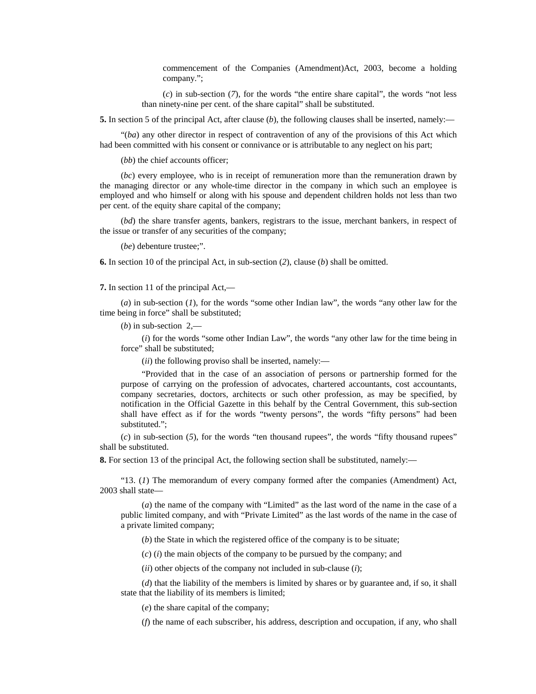commencement of the Companies (Amendment)Act, 2003, become a holding company.";

 $(c)$  in sub-section  $(7)$ , for the words "the entire share capital", the words "not less than ninety-nine per cent. of the share capital" shall be substituted.

**5.** In section 5 of the principal Act, after clause (*b*), the following clauses shall be inserted, namely:—

"(*ba*) any other director in respect of contravention of any of the provisions of this Act which had been committed with his consent or connivance or is attributable to any neglect on his part;

(*bb*) the chief accounts officer;

(*bc*) every employee, who is in receipt of remuneration more than the remuneration drawn by the managing director or any whole-time director in the company in which such an employee is employed and who himself or along with his spouse and dependent children holds not less than two per cent. of the equity share capital of the company;

(*bd*) the share transfer agents, bankers, registrars to the issue, merchant bankers, in respect of the issue or transfer of any securities of the company;

(*be*) debenture trustee;".

**6.** In section 10 of the principal Act, in sub-section (*2*), clause (*b*) shall be omitted.

**7.** In section 11 of the principal Act,—

(*a*) in sub-section (*1*), for the words "some other Indian law", the words "any other law for the time being in force" shall be substituted;

 $(b)$  in sub-section  $2$ ,—

(*i*) for the words "some other Indian Law", the words "any other law for the time being in force" shall be substituted;

(*ii*) the following proviso shall be inserted, namely:—

"Provided that in the case of an association of persons or partnership formed for the purpose of carrying on the profession of advocates, chartered accountants, cost accountants, company secretaries, doctors, architects or such other profession, as may be specified, by notification in the Official Gazette in this behalf by the Central Government, this sub-section shall have effect as if for the words "twenty persons", the words "fifty persons" had been substituted.";

 $(c)$  in sub-section  $(5)$ , for the words "ten thousand rupees", the words "fifty thousand rupees" shall be substituted.

**8.** For section 13 of the principal Act, the following section shall be substituted, namely:—

"13. (*1*) The memorandum of every company formed after the companies (Amendment) Act, 2003 shall state—

(*a*) the name of the company with "Limited" as the last word of the name in the case of a public limited company, and with "Private Limited" as the last words of the name in the case of a private limited company;

(*b*) the State in which the registered office of the company is to be situate;

(*c*) (*i*) the main objects of the company to be pursued by the company; and

(*ii*) other objects of the company not included in sub-clause (*i*);

(*d*) that the liability of the members is limited by shares or by guarantee and, if so, it shall state that the liability of its members is limited;

(*e*) the share capital of the company;

(*f*) the name of each subscriber, his address, description and occupation, if any, who shall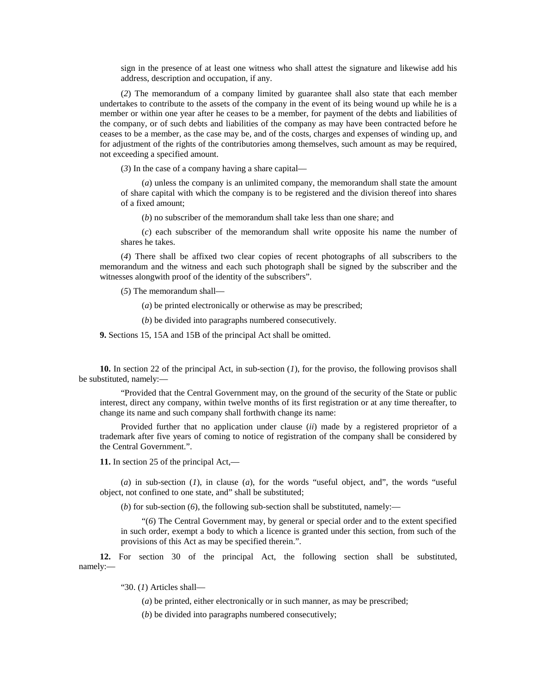sign in the presence of at least one witness who shall attest the signature and likewise add his address, description and occupation, if any.

(*2*) The memorandum of a company limited by guarantee shall also state that each member undertakes to contribute to the assets of the company in the event of its being wound up while he is a member or within one year after he ceases to be a member, for payment of the debts and liabilities of the company, or of such debts and liabilities of the company as may have been contracted before he ceases to be a member, as the case may be, and of the costs, charges and expenses of winding up, and for adjustment of the rights of the contributories among themselves, such amount as may be required, not exceeding a specified amount.

(*3*) In the case of a company having a share capital—

(*a*) unless the company is an unlimited company, the memorandum shall state the amount of share capital with which the company is to be registered and the division thereof into shares of a fixed amount;

(*b*) no subscriber of the memorandum shall take less than one share; and

(*c*) each subscriber of the memorandum shall write opposite his name the number of shares he takes.

(*4*) There shall be affixed two clear copies of recent photographs of all subscribers to the memorandum and the witness and each such photograph shall be signed by the subscriber and the witnesses alongwith proof of the identity of the subscribers".

(*5*) The memorandum shall—

(*a*) be printed electronically or otherwise as may be prescribed;

(*b*) be divided into paragraphs numbered consecutively.

**9.** Sections 15, 15A and 15B of the principal Act shall be omitted.

**10.** In section 22 of the principal Act, in sub-section (*1*), for the proviso, the following provisos shall be substituted, namely:—

"Provided that the Central Government may, on the ground of the security of the State or public interest, direct any company, within twelve months of its first registration or at any time thereafter, to change its name and such company shall forthwith change its name:

Provided further that no application under clause (*ii*) made by a registered proprietor of a trademark after five years of coming to notice of registration of the company shall be considered by the Central Government.".

**11.** In section 25 of the principal Act,—

(*a*) in sub-section (*1*), in clause (*a*), for the words "useful object, and", the words "useful object, not confined to one state, and" shall be substituted;

(*b*) for sub-section (*6*), the following sub-section shall be substituted, namely:—

"(*6*) The Central Government may, by general or special order and to the extent specified in such order, exempt a body to which a licence is granted under this section, from such of the provisions of this Act as may be specified therein.".

**12.** For section 30 of the principal Act, the following section shall be substituted, namely:—

"30. (*1*) Articles shall—

(*a*) be printed, either electronically or in such manner, as may be prescribed;

(*b*) be divided into paragraphs numbered consecutively;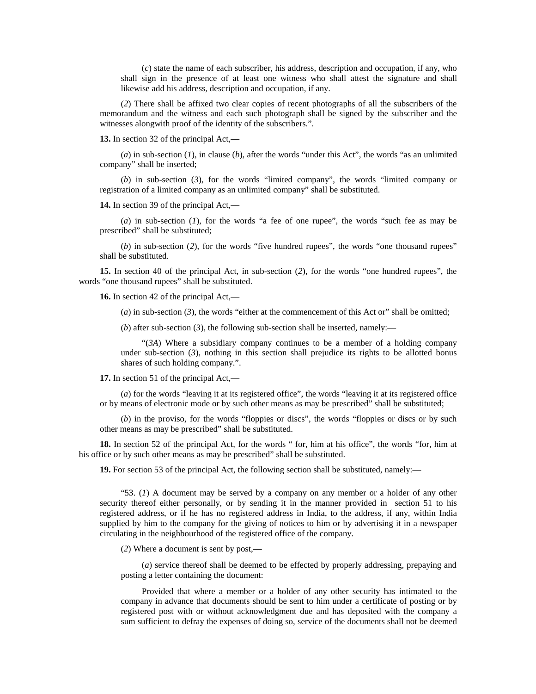(*c*) state the name of each subscriber, his address, description and occupation, if any, who shall sign in the presence of at least one witness who shall attest the signature and shall likewise add his address, description and occupation, if any.

(*2*) There shall be affixed two clear copies of recent photographs of all the subscribers of the memorandum and the witness and each such photograph shall be signed by the subscriber and the witnesses alongwith proof of the identity of the subscribers.".

**13.** In section 32 of the principal Act,—

(*a*) in sub-section (*1*), in clause (*b*), after the words "under this Act", the words "as an unlimited company" shall be inserted;

(*b*) in sub-section (*3*), for the words "limited company", the words "limited company or registration of a limited company as an unlimited company" shall be substituted.

**14.** In section 39 of the principal Act,—

(*a*) in sub-section (*1*), for the words "a fee of one rupee", the words "such fee as may be prescribed" shall be substituted;

(*b*) in sub-section (*2*), for the words "five hundred rupees", the words "one thousand rupees" shall be substituted.

**15.** In section 40 of the principal Act, in sub-section (*2*), for the words "one hundred rupees", the words "one thousand rupees" shall be substituted.

**16.** In section 42 of the principal Act,—

(*a*) in sub-section (*3*), the words "either at the commencement of this Act or" shall be omitted;

(*b*) after sub-section (*3*), the following sub-section shall be inserted, namely:—

"(*3A*) Where a subsidiary company continues to be a member of a holding company under sub-section  $(3)$ , nothing in this section shall prejudice its rights to be allotted bonus shares of such holding company.".

**17.** In section 51 of the principal Act,—

(*a*) for the words "leaving it at its registered office", the words "leaving it at its registered office or by means of electronic mode or by such other means as may be prescribed" shall be substituted;

(*b*) in the proviso, for the words "floppies or discs", the words "floppies or discs or by such other means as may be prescribed" shall be substituted.

**18.** In section 52 of the principal Act, for the words " for, him at his office", the words "for, him at his office or by such other means as may be prescribed" shall be substituted.

**19.** For section 53 of the principal Act, the following section shall be substituted, namely:—

"53. (*1*) A document may be served by a company on any member or a holder of any other security thereof either personally, or by sending it in the manner provided in section 51 to his registered address, or if he has no registered address in India, to the address, if any, within India supplied by him to the company for the giving of notices to him or by advertising it in a newspaper circulating in the neighbourhood of the registered office of the company.

(*2*) Where a document is sent by post,—

(*a*) service thereof shall be deemed to be effected by properly addressing, prepaying and posting a letter containing the document:

Provided that where a member or a holder of any other security has intimated to the company in advance that documents should be sent to him under a certificate of posting or by registered post with or without acknowledgment due and has deposited with the company a sum sufficient to defray the expenses of doing so, service of the documents shall not be deemed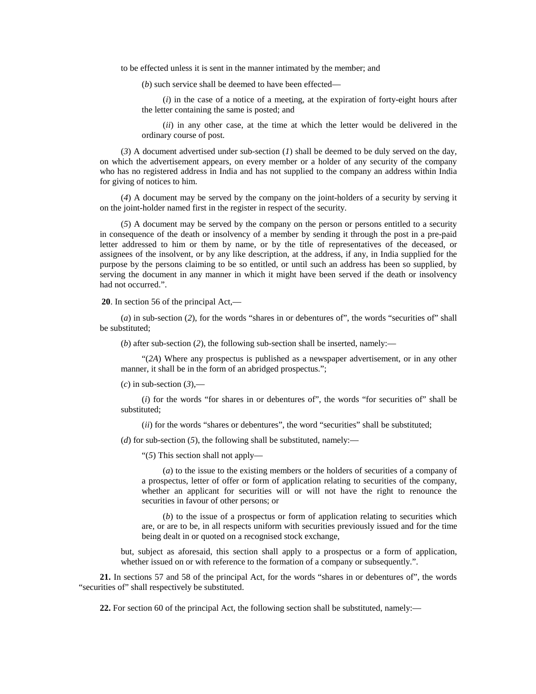to be effected unless it is sent in the manner intimated by the member; and

(*b*) such service shall be deemed to have been effected—

(*i*) in the case of a notice of a meeting, at the expiration of forty-eight hours after the letter containing the same is posted; and

(*ii*) in any other case, at the time at which the letter would be delivered in the ordinary course of post.

(*3*) A document advertised under sub-section (*1*) shall be deemed to be duly served on the day, on which the advertisement appears, on every member or a holder of any security of the company who has no registered address in India and has not supplied to the company an address within India for giving of notices to him.

(*4*) A document may be served by the company on the joint-holders of a security by serving it on the joint-holder named first in the register in respect of the security.

(*5*) A document may be served by the company on the person or persons entitled to a security in consequence of the death or insolvency of a member by sending it through the post in a pre-paid letter addressed to him or them by name, or by the title of representatives of the deceased, or assignees of the insolvent, or by any like description, at the address, if any, in India supplied for the purpose by the persons claiming to be so entitled, or until such an address has been so supplied, by serving the document in any manner in which it might have been served if the death or insolvency had not occurred.".

**20**. In section 56 of the principal Act,—

(*a*) in sub-section (*2*), for the words "shares in or debentures of", the words "securities of" shall be substituted;

(*b*) after sub-section (*2*), the following sub-section shall be inserted, namely:—

"(*2A*) Where any prospectus is published as a newspaper advertisement, or in any other manner, it shall be in the form of an abridged prospectus.";

 $(c)$  in sub-section  $(3)$ ,—

(*i*) for the words "for shares in or debentures of", the words "for securities of" shall be substituted;

(*ii*) for the words "shares or debentures", the word "securities" shall be substituted;

(*d*) for sub-section (*5*), the following shall be substituted, namely:—

"(*5*) This section shall not apply—

(*a*) to the issue to the existing members or the holders of securities of a company of a prospectus, letter of offer or form of application relating to securities of the company, whether an applicant for securities will or will not have the right to renounce the securities in favour of other persons; or

(*b*) to the issue of a prospectus or form of application relating to securities which are, or are to be, in all respects uniform with securities previously issued and for the time being dealt in or quoted on a recognised stock exchange,

but, subject as aforesaid, this section shall apply to a prospectus or a form of application, whether issued on or with reference to the formation of a company or subsequently.".

**21.** In sections 57 and 58 of the principal Act, for the words "shares in or debentures of", the words "securities of" shall respectively be substituted.

**22.** For section 60 of the principal Act, the following section shall be substituted, namely:—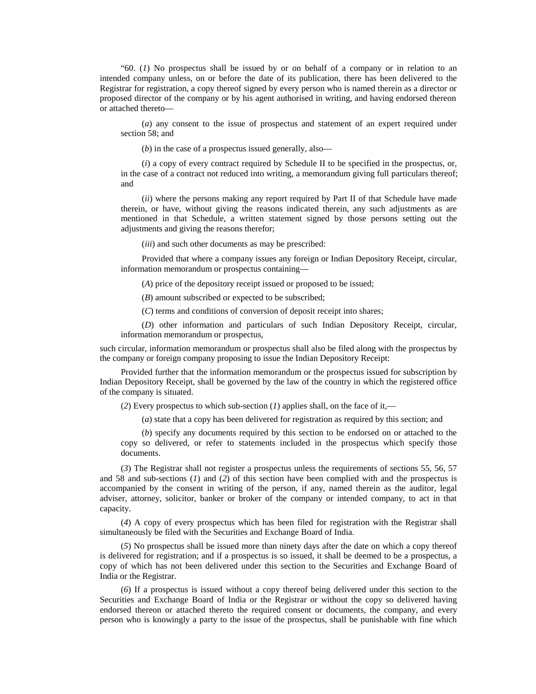"60. (*1*) No prospectus shall be issued by or on behalf of a company or in relation to an intended company unless, on or before the date of its publication, there has been delivered to the Registrar for registration, a copy thereof signed by every person who is named therein as a director or proposed director of the company or by his agent authorised in writing, and having endorsed thereon or attached thereto—

(*a*) any consent to the issue of prospectus and statement of an expert required under section 58; and

(*b*) in the case of a prospectus issued generally, also—

(*i*) a copy of every contract required by Schedule II to be specified in the prospectus, or, in the case of a contract not reduced into writing, a memorandum giving full particulars thereof; and

(*ii*) where the persons making any report required by Part II of that Schedule have made therein, or have, without giving the reasons indicated therein, any such adjustments as are mentioned in that Schedule, a written statement signed by those persons setting out the adjustments and giving the reasons therefor;

(*iii*) and such other documents as may be prescribed:

Provided that where a company issues any foreign or Indian Depository Receipt, circular, information memorandum or prospectus containing—

(*A*) price of the depository receipt issued or proposed to be issued;

(*B*) amount subscribed or expected to be subscribed;

(*C*) terms and conditions of conversion of deposit receipt into shares;

(*D*) other information and particulars of such Indian Depository Receipt, circular, information memorandum or prospectus,

such circular, information memorandum or prospectus shall also be filed along with the prospectus by the company or foreign company proposing to issue the Indian Depository Receipt:

Provided further that the information memorandum or the prospectus issued for subscription by Indian Depository Receipt, shall be governed by the law of the country in which the registered office of the company is situated.

(*2*) Every prospectus to which sub-section (*1*) applies shall, on the face of it,—

(*a*) state that a copy has been delivered for registration as required by this section; and

(*b*) specify any documents required by this section to be endorsed on or attached to the copy so delivered, or refer to statements included in the prospectus which specify those documents.

(*3*) The Registrar shall not register a prospectus unless the requirements of sections 55, 56, 57 and 58 and sub-sections (*1*) and (*2*) of this section have been complied with and the prospectus is accompanied by the consent in writing of the person, if any, named therein as the auditor, legal adviser, attorney, solicitor, banker or broker of the company or intended company, to act in that capacity.

(*4*) A copy of every prospectus which has been filed for registration with the Registrar shall simultaneously be filed with the Securities and Exchange Board of India.

(*5*) No prospectus shall be issued more than ninety days after the date on which a copy thereof is delivered for registration; and if a prospectus is so issued, it shall be deemed to be a prospectus, a copy of which has not been delivered under this section to the Securities and Exchange Board of India or the Registrar.

(*6*) If a prospectus is issued without a copy thereof being delivered under this section to the Securities and Exchange Board of India or the Registrar or without the copy so delivered having endorsed thereon or attached thereto the required consent or documents, the company, and every person who is knowingly a party to the issue of the prospectus, shall be punishable with fine which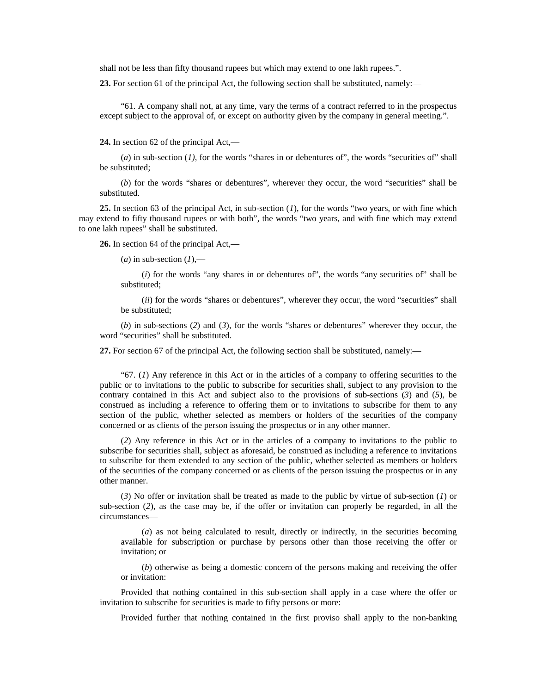shall not be less than fifty thousand rupees but which may extend to one lakh rupees.".

**23.** For section 61 of the principal Act, the following section shall be substituted, namely:—

"61. A company shall not, at any time, vary the terms of a contract referred to in the prospectus except subject to the approval of, or except on authority given by the company in general meeting.".

**24.** In section 62 of the principal Act,—

(*a*) in sub-section (*1)*, for the words "shares in or debentures of", the words "securities of" shall be substituted;

(*b*) for the words "shares or debentures", wherever they occur, the word "securities" shall be substituted.

**25.** In section 63 of the principal Act, in sub-section (*1*), for the words "two years, or with fine which may extend to fifty thousand rupees or with both", the words "two years, and with fine which may extend to one lakh rupees" shall be substituted.

**26.** In section 64 of the principal Act,—

 $(a)$  in sub-section  $(1)$ ,—

(*i*) for the words "any shares in or debentures of", the words "any securities of" shall be substituted;

(*ii*) for the words "shares or debentures", wherever they occur, the word "securities" shall be substituted;

(*b*) in sub-sections (*2*) and (*3*), for the words "shares or debentures" wherever they occur, the word "securities" shall be substituted.

**27.** For section 67 of the principal Act, the following section shall be substituted, namely:—

"67. (*1*) Any reference in this Act or in the articles of a company to offering securities to the public or to invitations to the public to subscribe for securities shall, subject to any provision to the contrary contained in this Act and subject also to the provisions of sub-sections (*3*) and (*5*), be construed as including a reference to offering them or to invitations to subscribe for them to any section of the public, whether selected as members or holders of the securities of the company concerned or as clients of the person issuing the prospectus or in any other manner.

(*2*) Any reference in this Act or in the articles of a company to invitations to the public to subscribe for securities shall, subject as aforesaid, be construed as including a reference to invitations to subscribe for them extended to any section of the public, whether selected as members or holders of the securities of the company concerned or as clients of the person issuing the prospectus or in any other manner.

(*3*) No offer or invitation shall be treated as made to the public by virtue of sub-section (*1*) or sub-section (*2*), as the case may be, if the offer or invitation can properly be regarded, in all the circumstances—

(*a*) as not being calculated to result, directly or indirectly, in the securities becoming available for subscription or purchase by persons other than those receiving the offer or invitation; or

(*b*) otherwise as being a domestic concern of the persons making and receiving the offer or invitation:

Provided that nothing contained in this sub-section shall apply in a case where the offer or invitation to subscribe for securities is made to fifty persons or more:

Provided further that nothing contained in the first proviso shall apply to the non-banking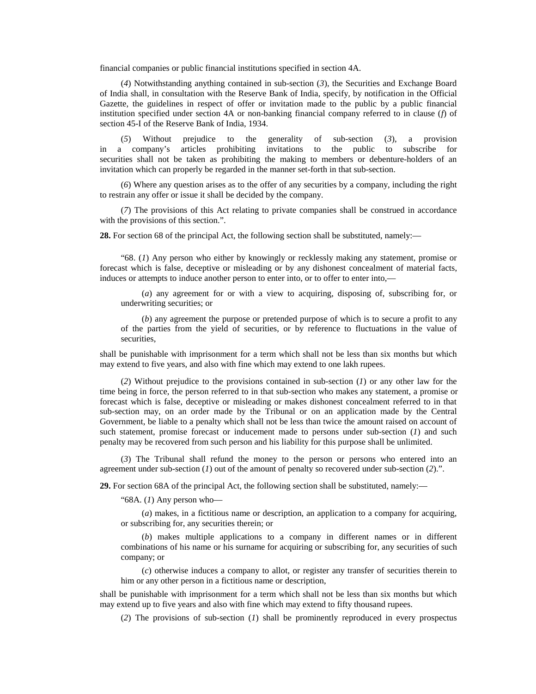financial companies or public financial institutions specified in section 4A.

(*4*) Notwithstanding anything contained in sub-section (*3*), the Securities and Exchange Board of India shall, in consultation with the Reserve Bank of India, specify, by notification in the Official Gazette, the guidelines in respect of offer or invitation made to the public by a public financial institution specified under section 4A or non-banking financial company referred to in clause (*f*) of section 45-I of the Reserve Bank of India, 1934.

(*5*) Without prejudice to the generality of sub-section (*3*), a provision in a company's articles prohibiting invitations to the public to subscribe for securities shall not be taken as prohibiting the making to members or debenture-holders of an invitation which can properly be regarded in the manner set-forth in that sub-section.

(*6*) Where any question arises as to the offer of any securities by a company, including the right to restrain any offer or issue it shall be decided by the company.

(*7*) The provisions of this Act relating to private companies shall be construed in accordance with the provisions of this section.".

**28.** For section 68 of the principal Act, the following section shall be substituted, namely:—

"68. (*1*) Any person who either by knowingly or recklessly making any statement, promise or forecast which is false, deceptive or misleading or by any dishonest concealment of material facts, induces or attempts to induce another person to enter into, or to offer to enter into,—

(*a*) any agreement for or with a view to acquiring, disposing of, subscribing for, or underwriting securities; or

(*b*) any agreement the purpose or pretended purpose of which is to secure a profit to any of the parties from the yield of securities, or by reference to fluctuations in the value of securities,

shall be punishable with imprisonment for a term which shall not be less than six months but which may extend to five years, and also with fine which may extend to one lakh rupees.

(*2*) Without prejudice to the provisions contained in sub-section (*1*) or any other law for the time being in force, the person referred to in that sub-section who makes any statement, a promise or forecast which is false, deceptive or misleading or makes dishonest concealment referred to in that sub-section may, on an order made by the Tribunal or on an application made by the Central Government, be liable to a penalty which shall not be less than twice the amount raised on account of such statement, promise forecast or inducement made to persons under sub-section (*1*) and such penalty may be recovered from such person and his liability for this purpose shall be unlimited.

(*3*) The Tribunal shall refund the money to the person or persons who entered into an agreement under sub-section (*1*) out of the amount of penalty so recovered under sub-section (*2*).".

**29.** For section 68A of the principal Act, the following section shall be substituted, namely:—

"68A. (*1*) Any person who—

(*a*) makes, in a fictitious name or description, an application to a company for acquiring, or subscribing for, any securities therein; or

(*b*) makes multiple applications to a company in different names or in different combinations of his name or his surname for acquiring or subscribing for, any securities of such company; or

(*c*) otherwise induces a company to allot, or register any transfer of securities therein to him or any other person in a fictitious name or description,

shall be punishable with imprisonment for a term which shall not be less than six months but which may extend up to five years and also with fine which may extend to fifty thousand rupees.

(*2*) The provisions of sub-section (*1*) shall be prominently reproduced in every prospectus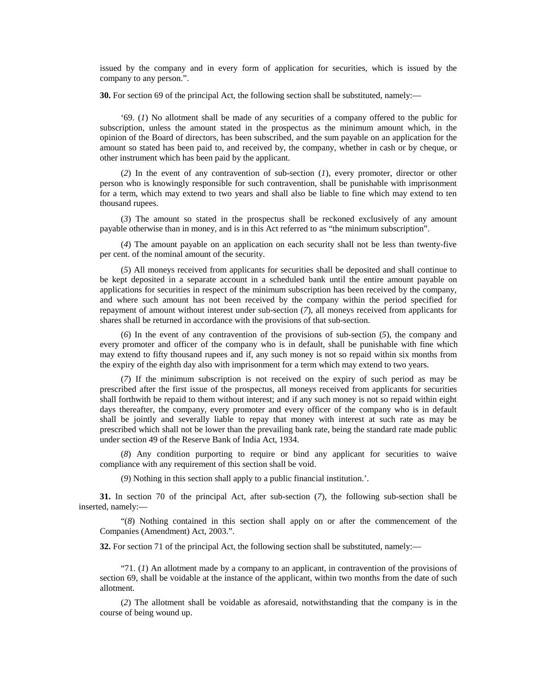issued by the company and in every form of application for securities, which is issued by the company to any person.".

**30.** For section 69 of the principal Act, the following section shall be substituted, namely:—

'69. (*1*) No allotment shall be made of any securities of a company offered to the public for subscription, unless the amount stated in the prospectus as the minimum amount which, in the opinion of the Board of directors, has been subscribed, and the sum payable on an application for the amount so stated has been paid to, and received by, the company, whether in cash or by cheque, or other instrument which has been paid by the applicant.

(*2*) In the event of any contravention of sub-section (*1*), every promoter, director or other person who is knowingly responsible for such contravention, shall be punishable with imprisonment for a term, which may extend to two years and shall also be liable to fine which may extend to ten thousand rupees.

(*3*) The amount so stated in the prospectus shall be reckoned exclusively of any amount payable otherwise than in money, and is in this Act referred to as "the minimum subscription".

(*4*) The amount payable on an application on each security shall not be less than twenty-five per cent. of the nominal amount of the security.

(*5*) All moneys received from applicants for securities shall be deposited and shall continue to be kept deposited in a separate account in a scheduled bank until the entire amount payable on applications for securities in respect of the minimum subscription has been received by the company, and where such amount has not been received by the company within the period specified for repayment of amount without interest under sub-section (*7*), all moneys received from applicants for shares shall be returned in accordance with the provisions of that sub-section.

(*6*) In the event of any contravention of the provisions of sub-section (*5*), the company and every promoter and officer of the company who is in default, shall be punishable with fine which may extend to fifty thousand rupees and if, any such money is not so repaid within six months from the expiry of the eighth day also with imprisonment for a term which may extend to two years.

(*7*) If the minimum subscription is not received on the expiry of such period as may be prescribed after the first issue of the prospectus, all moneys received from applicants for securities shall forthwith be repaid to them without interest; and if any such money is not so repaid within eight days thereafter, the company, every promoter and every officer of the company who is in default shall be jointly and severally liable to repay that money with interest at such rate as may be prescribed which shall not be lower than the prevailing bank rate, being the standard rate made public under section 49 of the Reserve Bank of India Act, 1934.

(*8*) Any condition purporting to require or bind any applicant for securities to waive compliance with any requirement of this section shall be void.

(*9*) Nothing in this section shall apply to a public financial institution.'.

**31.** In section 70 of the principal Act, after sub-section (*7*), the following sub-section shall be inserted, namely:—

"(*8*) Nothing contained in this section shall apply on or after the commencement of the Companies (Amendment) Act, 2003.".

**32.** For section 71 of the principal Act, the following section shall be substituted, namely:—

"71. (*1*) An allotment made by a company to an applicant, in contravention of the provisions of section 69, shall be voidable at the instance of the applicant, within two months from the date of such allotment.

(*2*) The allotment shall be voidable as aforesaid, notwithstanding that the company is in the course of being wound up.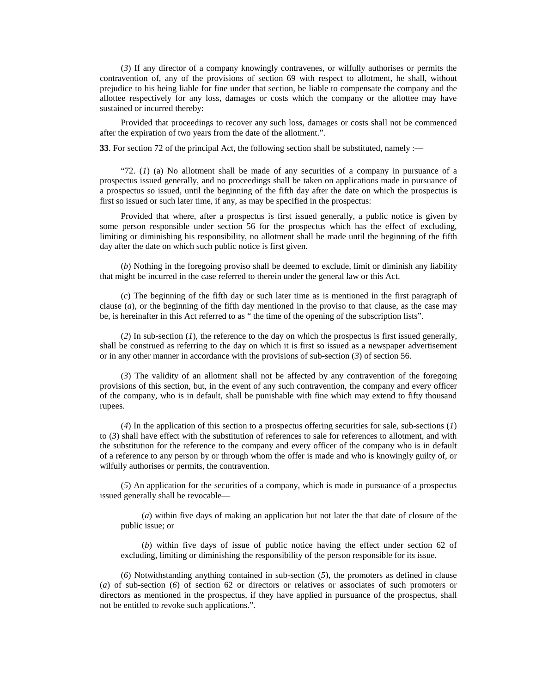(*3*) If any director of a company knowingly contravenes, or wilfully authorises or permits the contravention of, any of the provisions of section 69 with respect to allotment, he shall, without prejudice to his being liable for fine under that section, be liable to compensate the company and the allottee respectively for any loss, damages or costs which the company or the allottee may have sustained or incurred thereby:

Provided that proceedings to recover any such loss, damages or costs shall not be commenced after the expiration of two years from the date of the allotment.".

**33**. For section 72 of the principal Act, the following section shall be substituted, namely :—

"72. (*1*) (a) No allotment shall be made of any securities of a company in pursuance of a prospectus issued generally, and no proceedings shall be taken on applications made in pursuance of a prospectus so issued, until the beginning of the fifth day after the date on which the prospectus is first so issued or such later time, if any, as may be specified in the prospectus:

Provided that where, after a prospectus is first issued generally, a public notice is given by some person responsible under section 56 for the prospectus which has the effect of excluding, limiting or diminishing his responsibility, no allotment shall be made until the beginning of the fifth day after the date on which such public notice is first given.

(*b*) Nothing in the foregoing proviso shall be deemed to exclude, limit or diminish any liability that might be incurred in the case referred to therein under the general law or this Act.

(*c*) The beginning of the fifth day or such later time as is mentioned in the first paragraph of clause (*a*), or the beginning of the fifth day mentioned in the proviso to that clause, as the case may be, is hereinafter in this Act referred to as " the time of the opening of the subscription lists".

(*2*) In sub-section (*1*), the reference to the day on which the prospectus is first issued generally, shall be construed as referring to the day on which it is first so issued as a newspaper advertisement or in any other manner in accordance with the provisions of sub-section (*3*) of section 56.

(*3*) The validity of an allotment shall not be affected by any contravention of the foregoing provisions of this section, but, in the event of any such contravention, the company and every officer of the company, who is in default, shall be punishable with fine which may extend to fifty thousand rupees.

(*4*) In the application of this section to a prospectus offering securities for sale, sub-sections (*1*) to (*3*) shall have effect with the substitution of references to sale for references to allotment, and with the substitution for the reference to the company and every officer of the company who is in default of a reference to any person by or through whom the offer is made and who is knowingly guilty of, or wilfully authorises or permits, the contravention.

(*5*) An application for the securities of a company, which is made in pursuance of a prospectus issued generally shall be revocable—

(*a*) within five days of making an application but not later the that date of closure of the public issue; or

(*b*) within five days of issue of public notice having the effect under section 62 of excluding, limiting or diminishing the responsibility of the person responsible for its issue.

(*6*) Notwithstanding anything contained in sub-section (*5*), the promoters as defined in clause (*a*) of sub-section (*6*) of section 62 or directors or relatives or associates of such promoters or directors as mentioned in the prospectus, if they have applied in pursuance of the prospectus, shall not be entitled to revoke such applications.".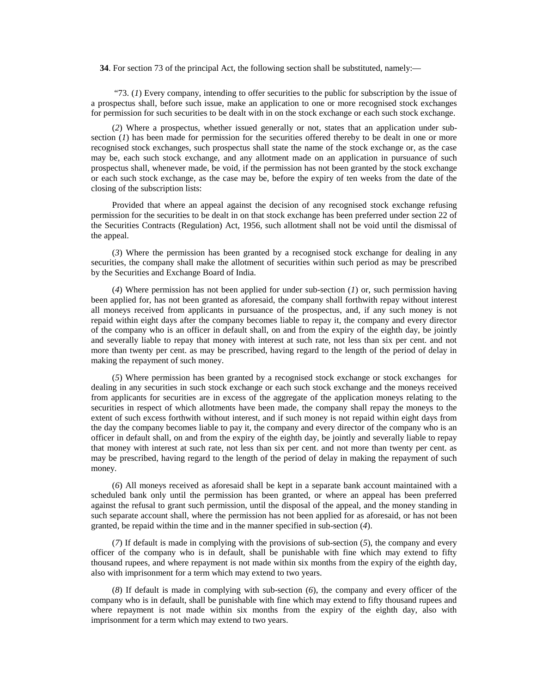**34**. For section 73 of the principal Act, the following section shall be substituted, namely:—

 "73. (*1*) Every company, intending to offer securities to the public for subscription by the issue of a prospectus shall, before such issue, make an application to one or more recognised stock exchanges for permission for such securities to be dealt with in on the stock exchange or each such stock exchange.

(*2*) Where a prospectus, whether issued generally or not, states that an application under subsection  $(I)$  has been made for permission for the securities offered thereby to be dealt in one or more recognised stock exchanges, such prospectus shall state the name of the stock exchange or, as the case may be, each such stock exchange, and any allotment made on an application in pursuance of such prospectus shall, whenever made, be void, if the permission has not been granted by the stock exchange or each such stock exchange, as the case may be, before the expiry of ten weeks from the date of the closing of the subscription lists:

Provided that where an appeal against the decision of any recognised stock exchange refusing permission for the securities to be dealt in on that stock exchange has been preferred under section 22 of the Securities Contracts (Regulation) Act, 1956, such allotment shall not be void until the dismissal of the appeal.

(*3*) Where the permission has been granted by a recognised stock exchange for dealing in any securities, the company shall make the allotment of securities within such period as may be prescribed by the Securities and Exchange Board of India.

(*4*) Where permission has not been applied for under sub-section (*1*) or, such permission having been applied for, has not been granted as aforesaid, the company shall forthwith repay without interest all moneys received from applicants in pursuance of the prospectus, and, if any such money is not repaid within eight days after the company becomes liable to repay it, the company and every director of the company who is an officer in default shall, on and from the expiry of the eighth day, be jointly and severally liable to repay that money with interest at such rate, not less than six per cent. and not more than twenty per cent. as may be prescribed, having regard to the length of the period of delay in making the repayment of such money.

(*5*) Where permission has been granted by a recognised stock exchange or stock exchanges for dealing in any securities in such stock exchange or each such stock exchange and the moneys received from applicants for securities are in excess of the aggregate of the application moneys relating to the securities in respect of which allotments have been made, the company shall repay the moneys to the extent of such excess forthwith without interest, and if such money is not repaid within eight days from the day the company becomes liable to pay it, the company and every director of the company who is an officer in default shall, on and from the expiry of the eighth day, be jointly and severally liable to repay that money with interest at such rate, not less than six per cent. and not more than twenty per cent. as may be prescribed, having regard to the length of the period of delay in making the repayment of such money.

(*6*) All moneys received as aforesaid shall be kept in a separate bank account maintained with a scheduled bank only until the permission has been granted, or where an appeal has been preferred against the refusal to grant such permission, until the disposal of the appeal, and the money standing in such separate account shall, where the permission has not been applied for as aforesaid, or has not been granted, be repaid within the time and in the manner specified in sub-section (*4*).

(*7*) If default is made in complying with the provisions of sub-section (*5*), the company and every officer of the company who is in default, shall be punishable with fine which may extend to fifty thousand rupees, and where repayment is not made within six months from the expiry of the eighth day, also with imprisonment for a term which may extend to two years.

(*8*) If default is made in complying with sub-section (*6*), the company and every officer of the company who is in default, shall be punishable with fine which may extend to fifty thousand rupees and where repayment is not made within six months from the expiry of the eighth day, also with imprisonment for a term which may extend to two years.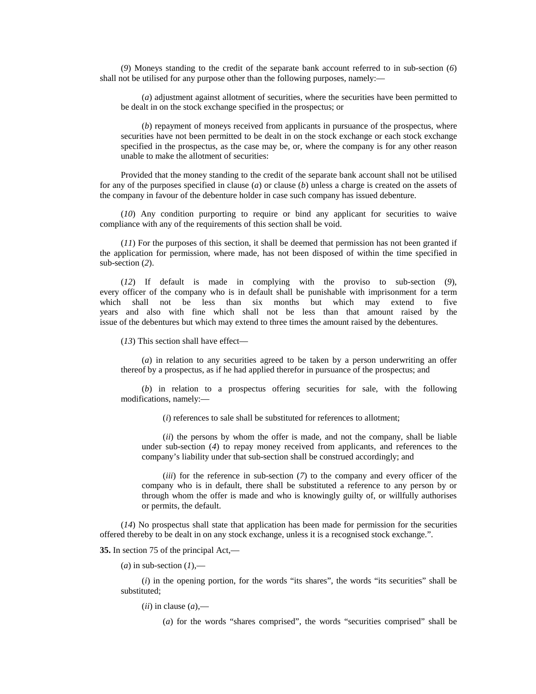(*9*) Moneys standing to the credit of the separate bank account referred to in sub-section (*6*) shall not be utilised for any purpose other than the following purposes, namely:—

(*a*) adjustment against allotment of securities, where the securities have been permitted to be dealt in on the stock exchange specified in the prospectus; or

(*b*) repayment of moneys received from applicants in pursuance of the prospectus, where securities have not been permitted to be dealt in on the stock exchange or each stock exchange specified in the prospectus, as the case may be, or, where the company is for any other reason unable to make the allotment of securities:

Provided that the money standing to the credit of the separate bank account shall not be utilised for any of the purposes specified in clause (*a*) or clause (*b*) unless a charge is created on the assets of the company in favour of the debenture holder in case such company has issued debenture.

(*10*) Any condition purporting to require or bind any applicant for securities to waive compliance with any of the requirements of this section shall be void.

(*11*) For the purposes of this section, it shall be deemed that permission has not been granted if the application for permission, where made, has not been disposed of within the time specified in sub-section (*2*).

(*12*) If default is made in complying with the proviso to sub-section (*9*), every officer of the company who is in default shall be punishable with imprisonment for a term which shall not be less than six months but which may extend to five years and also with fine which shall not be less than that amount raised by the issue of the debentures but which may extend to three times the amount raised by the debentures.

(*13*) This section shall have effect—

(*a*) in relation to any securities agreed to be taken by a person underwriting an offer thereof by a prospectus, as if he had applied therefor in pursuance of the prospectus; and

(*b*) in relation to a prospectus offering securities for sale, with the following modifications, namely:—

(*i*) references to sale shall be substituted for references to allotment;

(*ii*) the persons by whom the offer is made, and not the company, shall be liable under sub-section (*4*) to repay money received from applicants, and references to the company's liability under that sub-section shall be construed accordingly; and

(*iii*) for the reference in sub-section (*7*) to the company and every officer of the company who is in default, there shall be substituted a reference to any person by or through whom the offer is made and who is knowingly guilty of, or willfully authorises or permits, the default.

(*14*) No prospectus shall state that application has been made for permission for the securities offered thereby to be dealt in on any stock exchange, unless it is a recognised stock exchange.".

**35.** In section 75 of the principal Act,—

 $(a)$  in sub-section  $(1)$ ,—

(*i*) in the opening portion, for the words "its shares", the words "its securities" shall be substituted;

 $(iii)$  in clause  $(a)$ ,—

(*a*) for the words "shares comprised", the words "securities comprised" shall be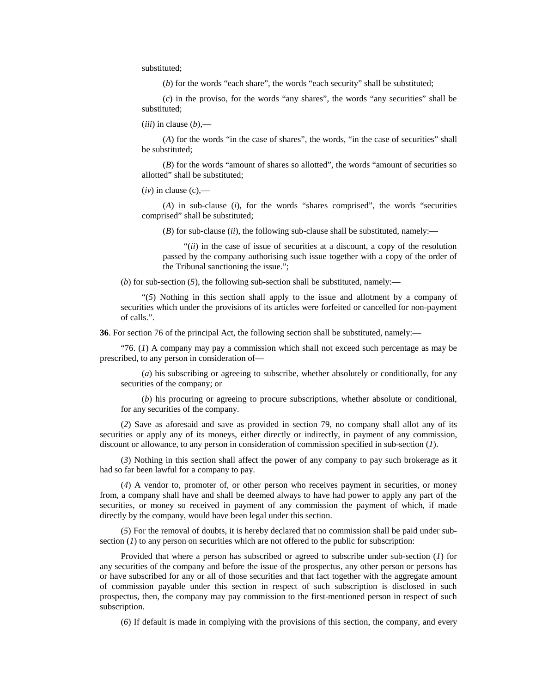substituted;

(*b*) for the words "each share", the words "each security" shall be substituted;

(*c*) in the proviso, for the words "any shares", the words "any securities" shall be substituted;

 $(iii)$  in clause  $(b)$ ,—

(*A*) for the words "in the case of shares", the words, "in the case of securities" shall be substituted;

(*B*) for the words "amount of shares so allotted", the words "amount of securities so allotted" shall be substituted;

 $(iv)$  in clause  $(c)$ ,—

(*A*) in sub-clause (*i*), for the words "shares comprised", the words "securities comprised" shall be substituted;

(*B*) for sub-clause (*ii*), the following sub-clause shall be substituted, namely:—

"(*ii*) in the case of issue of securities at a discount, a copy of the resolution passed by the company authorising such issue together with a copy of the order of the Tribunal sanctioning the issue.";

(*b*) for sub-section (*5*), the following sub-section shall be substituted, namely:—

"(*5*) Nothing in this section shall apply to the issue and allotment by a company of securities which under the provisions of its articles were forfeited or cancelled for non-payment of calls.".

**36**. For section 76 of the principal Act, the following section shall be substituted, namely:—

"76. (*1*) A company may pay a commission which shall not exceed such percentage as may be prescribed, to any person in consideration of—

(*a*) his subscribing or agreeing to subscribe, whether absolutely or conditionally, for any securities of the company; or

(*b*) his procuring or agreeing to procure subscriptions, whether absolute or conditional, for any securities of the company.

(*2*) Save as aforesaid and save as provided in section 79, no company shall allot any of its securities or apply any of its moneys, either directly or indirectly, in payment of any commission, discount or allowance, to any person in consideration of commission specified in sub-section (*1*).

(*3*) Nothing in this section shall affect the power of any company to pay such brokerage as it had so far been lawful for a company to pay.

(*4*) A vendor to, promoter of, or other person who receives payment in securities, or money from, a company shall have and shall be deemed always to have had power to apply any part of the securities, or money so received in payment of any commission the payment of which, if made directly by the company, would have been legal under this section.

(*5*) For the removal of doubts, it is hereby declared that no commission shall be paid under subsection (*I*) to any person on securities which are not offered to the public for subscription:

Provided that where a person has subscribed or agreed to subscribe under sub-section (*1*) for any securities of the company and before the issue of the prospectus, any other person or persons has or have subscribed for any or all of those securities and that fact together with the aggregate amount of commission payable under this section in respect of such subscription is disclosed in such prospectus, then, the company may pay commission to the first-mentioned person in respect of such subscription.

(*6*) If default is made in complying with the provisions of this section, the company, and every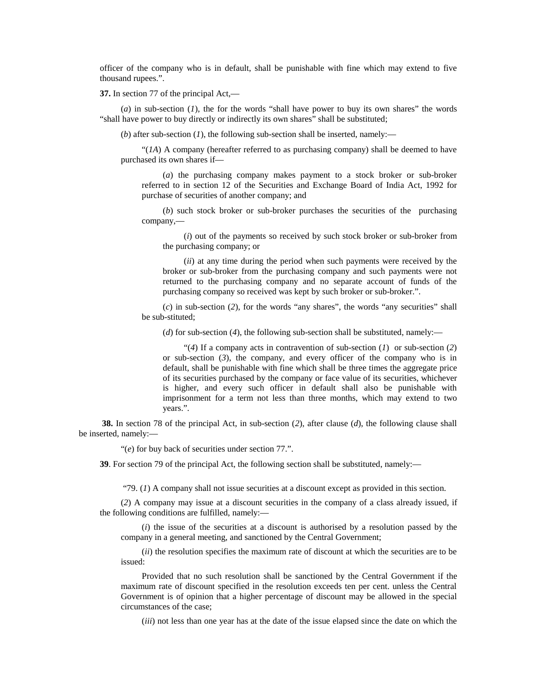officer of the company who is in default, shall be punishable with fine which may extend to five thousand rupees.".

**37.** In section 77 of the principal Act,—

(*a*) in sub-section (*1*), the for the words "shall have power to buy its own shares" the words "shall have power to buy directly or indirectly its own shares" shall be substituted;

(*b*) after sub-section (*1*), the following sub-section shall be inserted, namely:—

 $\mathcal{L}(IA)$  A company (hereafter referred to as purchasing company) shall be deemed to have purchased its own shares if—

(*a*) the purchasing company makes payment to a stock broker or sub-broker referred to in section 12 of the Securities and Exchange Board of India Act, 1992 for purchase of securities of another company; and

(*b*) such stock broker or sub-broker purchases the securities of the purchasing company,—

(*i*) out of the payments so received by such stock broker or sub-broker from the purchasing company; or

(*ii*) at any time during the period when such payments were received by the broker or sub-broker from the purchasing company and such payments were not returned to the purchasing company and no separate account of funds of the purchasing company so received was kept by such broker or sub-broker.".

(*c*) in sub-section (*2*), for the words "any shares", the words "any securities" shall be sub-stituted;

(*d*) for sub-section (*4*), the following sub-section shall be substituted, namely:—

"(*4*) If a company acts in contravention of sub-section (*1*) or sub-section (*2*) or sub-section (*3*), the company, and every officer of the company who is in default, shall be punishable with fine which shall be three times the aggregate price of its securities purchased by the company or face value of its securities, whichever is higher, and every such officer in default shall also be punishable with imprisonment for a term not less than three months, which may extend to two years.".

**38.** In section 78 of the principal Act, in sub-section (*2*), after clause (*d*), the following clause shall be inserted, namely:—

"(*e*) for buy back of securities under section 77.".

**39**. For section 79 of the principal Act, the following section shall be substituted, namely:—

"79. (*1*) A company shall not issue securities at a discount except as provided in this section.

(*2*) A company may issue at a discount securities in the company of a class already issued, if the following conditions are fulfilled, namely:—

(*i*) the issue of the securities at a discount is authorised by a resolution passed by the company in a general meeting, and sanctioned by the Central Government;

(*ii*) the resolution specifies the maximum rate of discount at which the securities are to be issued:

Provided that no such resolution shall be sanctioned by the Central Government if the maximum rate of discount specified in the resolution exceeds ten per cent. unless the Central Government is of opinion that a higher percentage of discount may be allowed in the special circumstances of the case;

(*iii*) not less than one year has at the date of the issue elapsed since the date on which the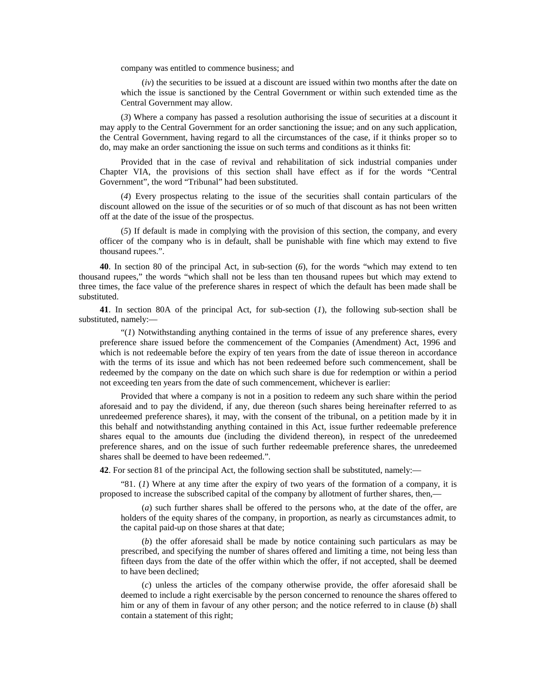company was entitled to commence business; and

(*iv*) the securities to be issued at a discount are issued within two months after the date on which the issue is sanctioned by the Central Government or within such extended time as the Central Government may allow.

(*3*) Where a company has passed a resolution authorising the issue of securities at a discount it may apply to the Central Government for an order sanctioning the issue; and on any such application, the Central Government, having regard to all the circumstances of the case, if it thinks proper so to do, may make an order sanctioning the issue on such terms and conditions as it thinks fit:

Provided that in the case of revival and rehabilitation of sick industrial companies under Chapter VIA, the provisions of this section shall have effect as if for the words "Central Government", the word "Tribunal" had been substituted.

(*4*) Every prospectus relating to the issue of the securities shall contain particulars of the discount allowed on the issue of the securities or of so much of that discount as has not been written off at the date of the issue of the prospectus.

(*5*) If default is made in complying with the provision of this section, the company, and every officer of the company who is in default, shall be punishable with fine which may extend to five thousand rupees.".

**40**. In section 80 of the principal Act, in sub-section (*6*), for the words "which may extend to ten thousand rupees," the words "which shall not be less than ten thousand rupees but which may extend to three times, the face value of the preference shares in respect of which the default has been made shall be substituted.

**41**. In section 80A of the principal Act, for sub-section (*1*), the following sub-section shall be substituted, namely:—

"(*1*) Notwithstanding anything contained in the terms of issue of any preference shares, every preference share issued before the commencement of the Companies (Amendment) Act, 1996 and which is not redeemable before the expiry of ten years from the date of issue thereon in accordance with the terms of its issue and which has not been redeemed before such commencement, shall be redeemed by the company on the date on which such share is due for redemption or within a period not exceeding ten years from the date of such commencement, whichever is earlier:

Provided that where a company is not in a position to redeem any such share within the period aforesaid and to pay the dividend, if any, due thereon (such shares being hereinafter referred to as unredeemed preference shares), it may, with the consent of the tribunal, on a petition made by it in this behalf and notwithstanding anything contained in this Act, issue further redeemable preference shares equal to the amounts due (including the dividend thereon), in respect of the unredeemed preference shares, and on the issue of such further redeemable preference shares, the unredeemed shares shall be deemed to have been redeemed.".

**42**. For section 81 of the principal Act, the following section shall be substituted, namely:—

"81.  $(I)$  Where at any time after the expiry of two years of the formation of a company, it is proposed to increase the subscribed capital of the company by allotment of further shares, then,—

(*a*) such further shares shall be offered to the persons who, at the date of the offer, are holders of the equity shares of the company, in proportion, as nearly as circumstances admit, to the capital paid-up on those shares at that date;

(*b*) the offer aforesaid shall be made by notice containing such particulars as may be prescribed, and specifying the number of shares offered and limiting a time, not being less than fifteen days from the date of the offer within which the offer, if not accepted, shall be deemed to have been declined;

(*c*) unless the articles of the company otherwise provide, the offer aforesaid shall be deemed to include a right exercisable by the person concerned to renounce the shares offered to him or any of them in favour of any other person; and the notice referred to in clause (*b*) shall contain a statement of this right;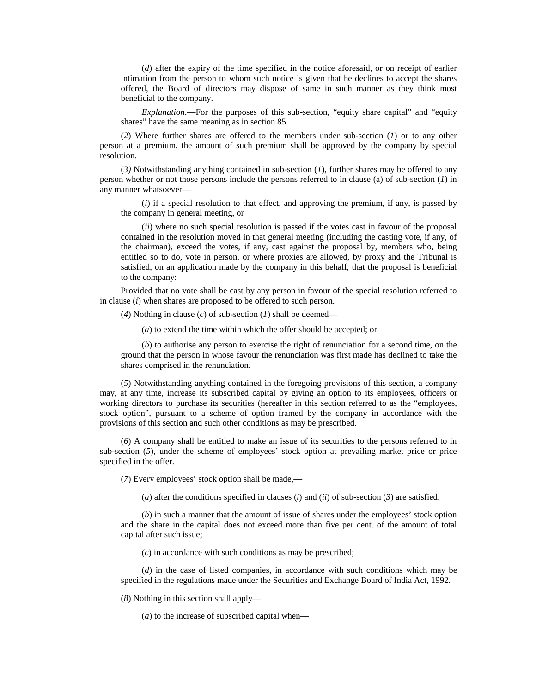(*d*) after the expiry of the time specified in the notice aforesaid, or on receipt of earlier intimation from the person to whom such notice is given that he declines to accept the shares offered, the Board of directors may dispose of same in such manner as they think most beneficial to the company.

*Explanation*.—For the purposes of this sub-section, "equity share capital" and "equity shares" have the same meaning as in section 85.

(*2*) Where further shares are offered to the members under sub-section (*1*) or to any other person at a premium, the amount of such premium shall be approved by the company by special resolution.

(*3)* Notwithstanding anything contained in sub-section (*1*), further shares may be offered to any person whether or not those persons include the persons referred to in clause (a) of sub-section (*1*) in any manner whatsoever—

(*i*) if a special resolution to that effect, and approving the premium, if any, is passed by the company in general meeting, or

(*ii*) where no such special resolution is passed if the votes cast in favour of the proposal contained in the resolution moved in that general meeting (including the casting vote, if any, of the chairman), exceed the votes, if any, cast against the proposal by, members who, being entitled so to do, vote in person, or where proxies are allowed, by proxy and the Tribunal is satisfied, on an application made by the company in this behalf, that the proposal is beneficial to the company:

Provided that no vote shall be cast by any person in favour of the special resolution referred to in clause (*i*) when shares are proposed to be offered to such person.

(*4*) Nothing in clause (*c*) of sub-section (*1*) shall be deemed—

(*a*) to extend the time within which the offer should be accepted; or

(*b*) to authorise any person to exercise the right of renunciation for a second time, on the ground that the person in whose favour the renunciation was first made has declined to take the shares comprised in the renunciation.

(*5*) Notwithstanding anything contained in the foregoing provisions of this section, a company may, at any time, increase its subscribed capital by giving an option to its employees, officers or working directors to purchase its securities (hereafter in this section referred to as the "employees, stock option", pursuant to a scheme of option framed by the company in accordance with the provisions of this section and such other conditions as may be prescribed.

(*6*) A company shall be entitled to make an issue of its securities to the persons referred to in sub-section (*5*), under the scheme of employees' stock option at prevailing market price or price specified in the offer.

(*7*) Every employees' stock option shall be made,—

(*a*) after the conditions specified in clauses (*i*) and (*ii*) of sub-section (*3*) are satisfied;

(*b*) in such a manner that the amount of issue of shares under the employees' stock option and the share in the capital does not exceed more than five per cent. of the amount of total capital after such issue;

(*c*) in accordance with such conditions as may be prescribed;

(*d*) in the case of listed companies, in accordance with such conditions which may be specified in the regulations made under the Securities and Exchange Board of India Act, 1992.

(*8*) Nothing in this section shall apply—

(*a*) to the increase of subscribed capital when—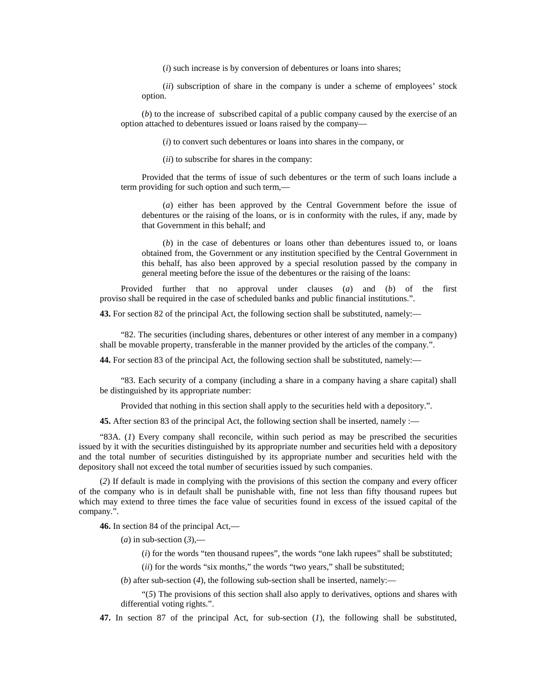(*i*) such increase is by conversion of debentures or loans into shares;

(*ii*) subscription of share in the company is under a scheme of employees' stock option.

(*b*) to the increase of subscribed capital of a public company caused by the exercise of an option attached to debentures issued or loans raised by the company—

(*i*) to convert such debentures or loans into shares in the company, or

(*ii*) to subscribe for shares in the company:

Provided that the terms of issue of such debentures or the term of such loans include a term providing for such option and such term,—

(*a*) either has been approved by the Central Government before the issue of debentures or the raising of the loans, or is in conformity with the rules, if any, made by that Government in this behalf; and

(*b*) in the case of debentures or loans other than debentures issued to, or loans obtained from, the Government or any institution specified by the Central Government in this behalf, has also been approved by a special resolution passed by the company in general meeting before the issue of the debentures or the raising of the loans:

Provided further that no approval under clauses (*a*) and (*b*) of the first proviso shall be required in the case of scheduled banks and public financial institutions.".

**43.** For section 82 of the principal Act, the following section shall be substituted, namely:—

"82. The securities (including shares, debentures or other interest of any member in a company) shall be movable property, transferable in the manner provided by the articles of the company.".

**44.** For section 83 of the principal Act, the following section shall be substituted, namely:—

"83. Each security of a company (including a share in a company having a share capital) shall be distinguished by its appropriate number:

Provided that nothing in this section shall apply to the securities held with a depository.".

**45.** After section 83 of the principal Act, the following section shall be inserted, namely :—

"83A. (*1*) Every company shall reconcile, within such period as may be prescribed the securities issued by it with the securities distinguished by its appropriate number and securities held with a depository and the total number of securities distinguished by its appropriate number and securities held with the depository shall not exceed the total number of securities issued by such companies.

(*2*) If default is made in complying with the provisions of this section the company and every officer of the company who is in default shall be punishable with, fine not less than fifty thousand rupees but which may extend to three times the face value of securities found in excess of the issued capital of the company.".

**46.** In section 84 of the principal Act,—

 $(a)$  in sub-section  $(3)$ ,—

(*i*) for the words "ten thousand rupees", the words "one lakh rupees" shall be substituted;

(*ii*) for the words "six months," the words "two years," shall be substituted;

(*b*) after sub-section (*4*), the following sub-section shall be inserted, namely:—

"(*5*) The provisions of this section shall also apply to derivatives, options and shares with differential voting rights.".

**47.** In section 87 of the principal Act, for sub-section (*1*), the following shall be substituted,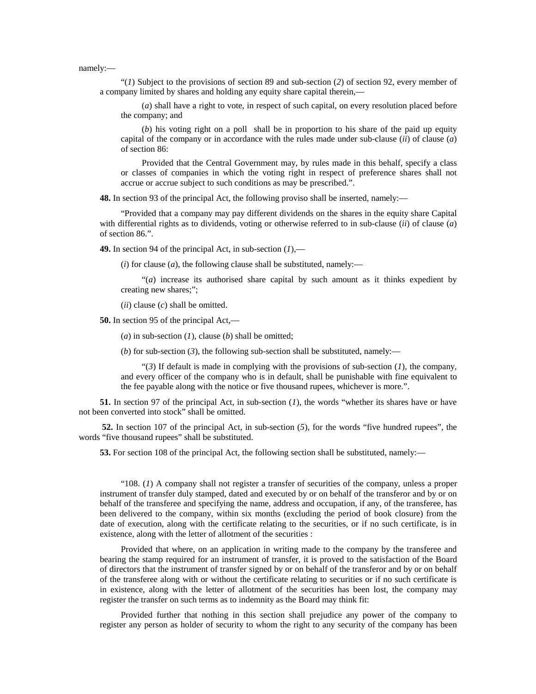namely:—

"(*1*) Subject to the provisions of section 89 and sub-section (*2*) of section 92, every member of a company limited by shares and holding any equity share capital therein,—

(*a*) shall have a right to vote, in respect of such capital, on every resolution placed before the company; and

(*b*) his voting right on a poll shall be in proportion to his share of the paid up equity capital of the company or in accordance with the rules made under sub-clause (*ii*) of clause (*a*) of section 86:

Provided that the Central Government may, by rules made in this behalf, specify a class or classes of companies in which the voting right in respect of preference shares shall not accrue or accrue subject to such conditions as may be prescribed.".

**48.** In section 93 of the principal Act, the following proviso shall be inserted, namely:—

"Provided that a company may pay different dividends on the shares in the equity share Capital with differential rights as to dividends, voting or otherwise referred to in sub-clause (*ii*) of clause (*a*) of section 86.".

**49.** In section 94 of the principal Act, in sub-section (*1*),—

 $(i)$  for clause  $(a)$ , the following clause shall be substituted, namely:—

"(*a*) increase its authorised share capital by such amount as it thinks expedient by creating new shares;";

(*ii*) clause (*c*) shall be omitted.

**50.** In section 95 of the principal Act,—

(*a*) in sub-section (*1*), clause (*b*) shall be omitted;

(*b*) for sub-section (3), the following sub-section shall be substituted, namely:—

"(*3*) If default is made in complying with the provisions of sub-section (*1*), the company, and every officer of the company who is in default, shall be punishable with fine equivalent to the fee payable along with the notice or five thousand rupees, whichever is more.".

**51.** In section 97 of the principal Act, in sub-section (*1*), the words "whether its shares have or have not been converted into stock" shall be omitted.

**52.** In section 107 of the principal Act, in sub-section (*5*), for the words "five hundred rupees", the words "five thousand rupees" shall be substituted.

**53.** For section 108 of the principal Act, the following section shall be substituted, namely:—

"108. (*1*) A company shall not register a transfer of securities of the company, unless a proper instrument of transfer duly stamped, dated and executed by or on behalf of the transferor and by or on behalf of the transferee and specifying the name, address and occupation, if any, of the transferee, has been delivered to the company, within six months (excluding the period of book closure) from the date of execution, along with the certificate relating to the securities, or if no such certificate, is in existence, along with the letter of allotment of the securities :

Provided that where, on an application in writing made to the company by the transferee and bearing the stamp required for an instrument of transfer, it is proved to the satisfaction of the Board of directors that the instrument of transfer signed by or on behalf of the transferor and by or on behalf of the transferee along with or without the certificate relating to securities or if no such certificate is in existence, along with the letter of allotment of the securities has been lost, the company may register the transfer on such terms as to indemnity as the Board may think fit:

Provided further that nothing in this section shall prejudice any power of the company to register any person as holder of security to whom the right to any security of the company has been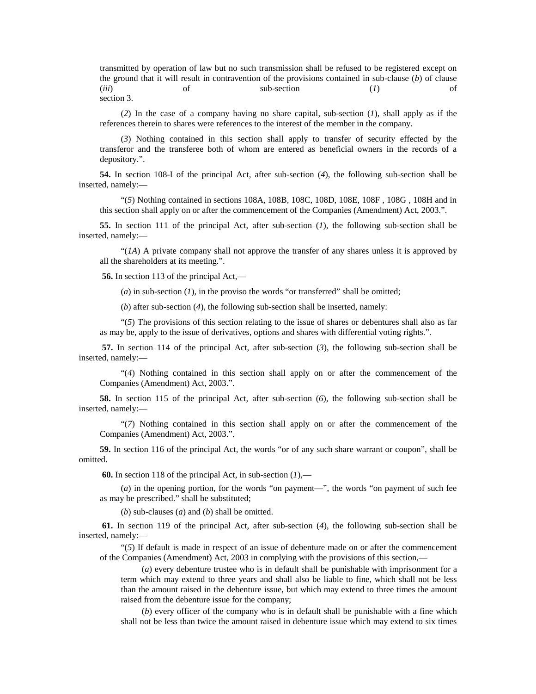transmitted by operation of law but no such transmission shall be refused to be registered except on the ground that it will result in contravention of the provisions contained in sub-clause (*b*) of clause (*iii*) of sub-section (*1*) of section 3.

(*2*) In the case of a company having no share capital, sub-section (*1*), shall apply as if the references therein to shares were references to the interest of the member in the company.

(*3*) Nothing contained in this section shall apply to transfer of security effected by the transferor and the transferee both of whom are entered as beneficial owners in the records of a depository.".

**54.** In section 108-I of the principal Act, after sub-section (*4*), the following sub-section shall be inserted, namely:—

"(*5*) Nothing contained in sections 108A, 108B, 108C, 108D, 108E, 108F , 108G , 108H and in this section shall apply on or after the commencement of the Companies (Amendment) Act, 2003.".

**55.** In section 111 of the principal Act, after sub-section (*1*), the following sub-section shall be inserted, namely:—

"(*1A*) A private company shall not approve the transfer of any shares unless it is approved by all the shareholders at its meeting.".

**56.** In section 113 of the principal Act,—

 $(a)$  in sub-section  $(I)$ , in the proviso the words "or transferred" shall be omitted;

(*b*) after sub-section (*4*), the following sub-section shall be inserted, namely:

"(*5*) The provisions of this section relating to the issue of shares or debentures shall also as far as may be, apply to the issue of derivatives, options and shares with differential voting rights.".

**57.** In section 114 of the principal Act, after sub-section (*3*), the following sub-section shall be inserted, namely:—

"(*4*) Nothing contained in this section shall apply on or after the commencement of the Companies (Amendment) Act, 2003.".

**58.** In section 115 of the principal Act, after sub-section (*6*), the following sub-section shall be inserted, namely:—

"(*7*) Nothing contained in this section shall apply on or after the commencement of the Companies (Amendment) Act, 2003.".

**59.** In section 116 of the principal Act, the words "or of any such share warrant or coupon", shall be omitted.

**60.** In section 118 of the principal Act, in sub-section (*1*),—

 $(a)$  in the opening portion, for the words "on payment—", the words "on payment of such fee as may be prescribed." shall be substituted;

(*b*) sub-clauses (*a*) and (*b*) shall be omitted.

**61.** In section 119 of the principal Act, after sub-section (*4*), the following sub-section shall be inserted, namely:—

"(*5*) If default is made in respect of an issue of debenture made on or after the commencement of the Companies (Amendment) Act, 2003 in complying with the provisions of this section,—

(*a*) every debenture trustee who is in default shall be punishable with imprisonment for a term which may extend to three years and shall also be liable to fine, which shall not be less than the amount raised in the debenture issue, but which may extend to three times the amount raised from the debenture issue for the company;

(*b*) every officer of the company who is in default shall be punishable with a fine which shall not be less than twice the amount raised in debenture issue which may extend to six times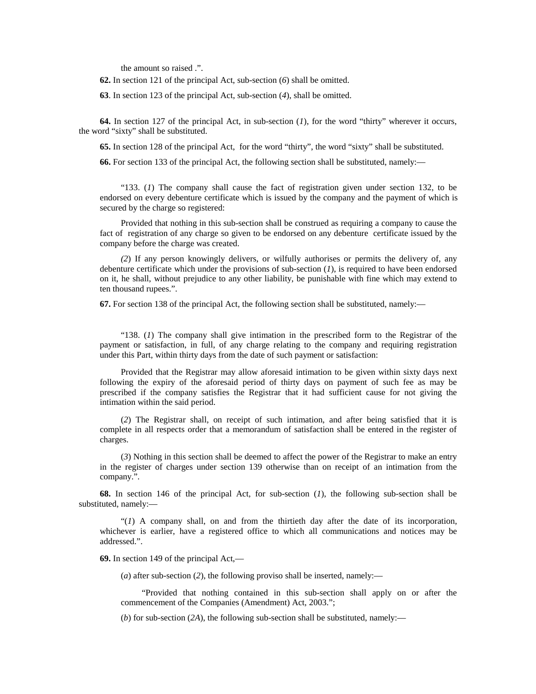the amount so raised .".

**62.** In section 121 of the principal Act, sub-section (*6*) shall be omitted.

**63**. In section 123 of the principal Act, sub-section (*4*), shall be omitted.

**64.** In section 127 of the principal Act, in sub-section (*1*), for the word "thirty" wherever it occurs, the word "sixty" shall be substituted.

**65.** In section 128 of the principal Act, for the word "thirty", the word "sixty" shall be substituted.

**66.** For section 133 of the principal Act, the following section shall be substituted, namely:—

"133. (*1*) The company shall cause the fact of registration given under section 132, to be endorsed on every debenture certificate which is issued by the company and the payment of which is secured by the charge so registered:

Provided that nothing in this sub-section shall be construed as requiring a company to cause the fact of registration of any charge so given to be endorsed on any debenture certificate issued by the company before the charge was created.

*(2*) If any person knowingly delivers, or wilfully authorises or permits the delivery of, any debenture certificate which under the provisions of sub-section (*1*), is required to have been endorsed on it, he shall, without prejudice to any other liability, be punishable with fine which may extend to ten thousand rupees.".

**67.** For section 138 of the principal Act, the following section shall be substituted, namely:—

"138. (*1*) The company shall give intimation in the prescribed form to the Registrar of the payment or satisfaction, in full, of any charge relating to the company and requiring registration under this Part, within thirty days from the date of such payment or satisfaction:

Provided that the Registrar may allow aforesaid intimation to be given within sixty days next following the expiry of the aforesaid period of thirty days on payment of such fee as may be prescribed if the company satisfies the Registrar that it had sufficient cause for not giving the intimation within the said period.

(*2*) The Registrar shall, on receipt of such intimation, and after being satisfied that it is complete in all respects order that a memorandum of satisfaction shall be entered in the register of charges.

(*3*) Nothing in this section shall be deemed to affect the power of the Registrar to make an entry in the register of charges under section 139 otherwise than on receipt of an intimation from the company.".

**68.** In section 146 of the principal Act, for sub-section (*1*), the following sub-section shall be substituted, namely:—

"(*1*) A company shall, on and from the thirtieth day after the date of its incorporation, whichever is earlier, have a registered office to which all communications and notices may be addressed.".

**69.** In section 149 of the principal Act,—

(*a*) after sub-section (*2*), the following proviso shall be inserted, namely:—

"Provided that nothing contained in this sub-section shall apply on or after the commencement of the Companies (Amendment) Act, 2003.";

(*b*) for sub-section (*2A*), the following sub-section shall be substituted, namely:—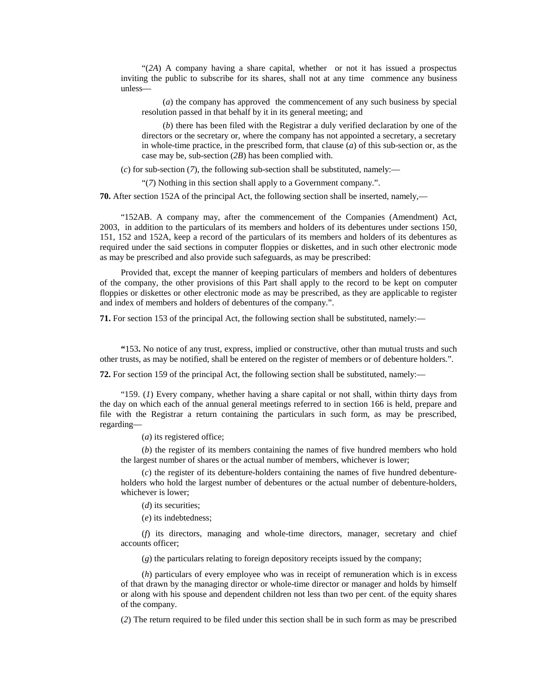"(*2A*) A company having a share capital, whether or not it has issued a prospectus inviting the public to subscribe for its shares, shall not at any time commence any business unless—

(*a*) the company has approved the commencement of any such business by special resolution passed in that behalf by it in its general meeting; and

(*b*) there has been filed with the Registrar a duly verified declaration by one of the directors or the secretary or, where the company has not appointed a secretary, a secretary in whole-time practice, in the prescribed form, that clause (*a*) of this sub-section or, as the case may be, sub-section (*2B*) has been complied with.

(*c*) for sub-section (*7*), the following sub-section shall be substituted, namely:—

"(*7*) Nothing in this section shall apply to a Government company.".

**70.** After section 152A of the principal Act, the following section shall be inserted, namely,—

"152AB. A company may, after the commencement of the Companies (Amendment) Act, 2003, in addition to the particulars of its members and holders of its debentures under sections 150, 151, 152 and 152A, keep a record of the particulars of its members and holders of its debentures as required under the said sections in computer floppies or diskettes, and in such other electronic mode as may be prescribed and also provide such safeguards, as may be prescribed:

Provided that, except the manner of keeping particulars of members and holders of debentures of the company, the other provisions of this Part shall apply to the record to be kept on computer floppies or diskettes or other electronic mode as may be prescribed, as they are applicable to register and index of members and holders of debentures of the company.".

**71.** For section 153 of the principal Act, the following section shall be substituted, namely:—

**"**153**.** No notice of any trust, express, implied or constructive, other than mutual trusts and such other trusts, as may be notified, shall be entered on the register of members or of debenture holders.".

**72.** For section 159 of the principal Act, the following section shall be substituted, namely:—

"159. (*1*) Every company, whether having a share capital or not shall, within thirty days from the day on which each of the annual general meetings referred to in section 166 is held, prepare and file with the Registrar a return containing the particulars in such form, as may be prescribed, regarding—

(*a*) its registered office;

(*b*) the register of its members containing the names of five hundred members who hold the largest number of shares or the actual number of members, whichever is lower;

(*c*) the register of its debenture-holders containing the names of five hundred debentureholders who hold the largest number of debentures or the actual number of debenture-holders, whichever is lower;

(*d*) its securities;

(*e*) its indebtedness;

(*f*) its directors, managing and whole-time directors, manager, secretary and chief accounts officer;

(*g*) the particulars relating to foreign depository receipts issued by the company;

(*h*) particulars of every employee who was in receipt of remuneration which is in excess of that drawn by the managing director or whole-time director or manager and holds by himself or along with his spouse and dependent children not less than two per cent. of the equity shares of the company.

(*2*) The return required to be filed under this section shall be in such form as may be prescribed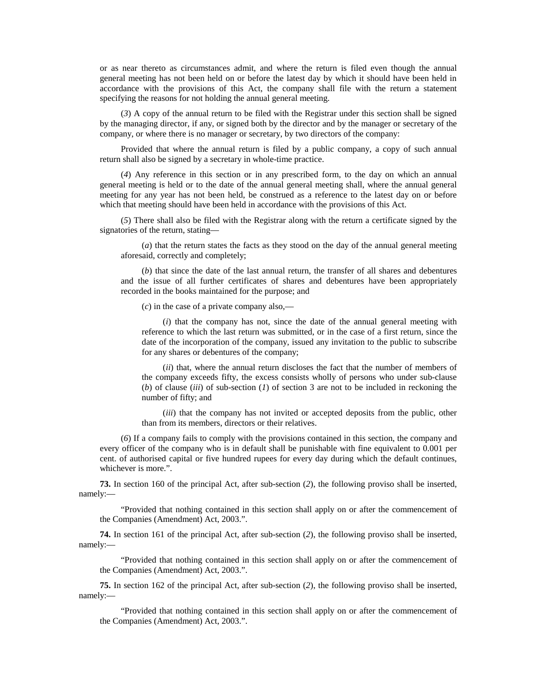or as near thereto as circumstances admit, and where the return is filed even though the annual general meeting has not been held on or before the latest day by which it should have been held in accordance with the provisions of this Act, the company shall file with the return a statement specifying the reasons for not holding the annual general meeting.

(*3*) A copy of the annual return to be filed with the Registrar under this section shall be signed by the managing director, if any, or signed both by the director and by the manager or secretary of the company, or where there is no manager or secretary, by two directors of the company:

Provided that where the annual return is filed by a public company, a copy of such annual return shall also be signed by a secretary in whole-time practice.

(*4*) Any reference in this section or in any prescribed form, to the day on which an annual general meeting is held or to the date of the annual general meeting shall, where the annual general meeting for any year has not been held, be construed as a reference to the latest day on or before which that meeting should have been held in accordance with the provisions of this Act.

(*5*) There shall also be filed with the Registrar along with the return a certificate signed by the signatories of the return, stating—

(*a*) that the return states the facts as they stood on the day of the annual general meeting aforesaid, correctly and completely;

(*b*) that since the date of the last annual return, the transfer of all shares and debentures and the issue of all further certificates of shares and debentures have been appropriately recorded in the books maintained for the purpose; and

(*c*) in the case of a private company also,—

(*i*) that the company has not, since the date of the annual general meeting with reference to which the last return was submitted, or in the case of a first return, since the date of the incorporation of the company, issued any invitation to the public to subscribe for any shares or debentures of the company;

(*ii*) that, where the annual return discloses the fact that the number of members of the company exceeds fifty, the excess consists wholly of persons who under sub-clause (*b*) of clause (*iii*) of sub-section (*1*) of section 3 are not to be included in reckoning the number of fifty; and

(*iii*) that the company has not invited or accepted deposits from the public, other than from its members, directors or their relatives.

(*6*) If a company fails to comply with the provisions contained in this section, the company and every officer of the company who is in default shall be punishable with fine equivalent to 0.001 per cent. of authorised capital or five hundred rupees for every day during which the default continues, whichever is more.".

**73.** In section 160 of the principal Act, after sub-section (*2*), the following proviso shall be inserted, namely:—

"Provided that nothing contained in this section shall apply on or after the commencement of the Companies (Amendment) Act, 2003.".

**74.** In section 161 of the principal Act, after sub-section (*2*), the following proviso shall be inserted, namely:—

"Provided that nothing contained in this section shall apply on or after the commencement of the Companies (Amendment) Act, 2003.".

**75.** In section 162 of the principal Act, after sub-section (*2*), the following proviso shall be inserted, namely:—

"Provided that nothing contained in this section shall apply on or after the commencement of the Companies (Amendment) Act, 2003.".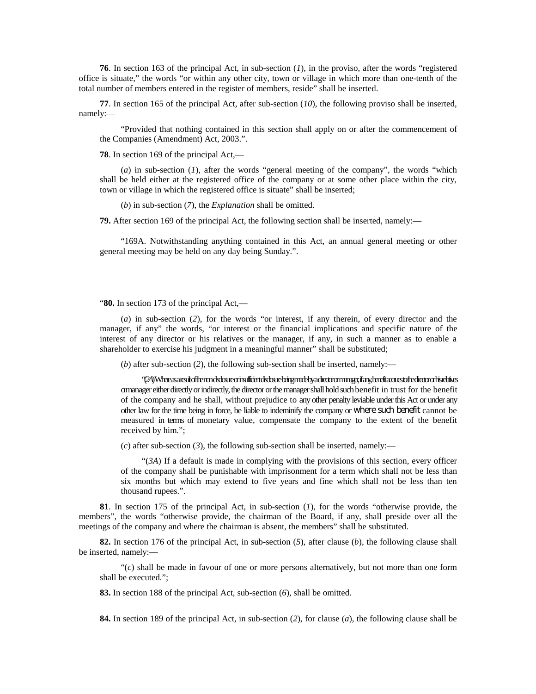**76**. In section 163 of the principal Act, in sub-section (*1*), in the proviso, after the words "registered office is situate," the words "or within any other city, town or village in which more than one-tenth of the total number of members entered in the register of members, reside" shall be inserted.

**77**. In section 165 of the principal Act, after sub-section (*10*), the following proviso shall be inserted, namely:—

"Provided that nothing contained in this section shall apply on or after the commencement of the Companies (Amendment) Act, 2003.".

**78**. In section 169 of the principal Act,—

(*a*) in sub-section (*1*), after the words "general meeting of the company", the words "which shall be held either at the registered office of the company or at some other place within the city, town or village in which the registered office is situate" shall be inserted;

(*b*) in sub-section (*7*), the *Explanation* shall be omitted.

**79.** After section 169 of the principal Act, the following section shall be inserted, namely:—

"169A. Notwithstanding anything contained in this Act, an annual general meeting or other general meeting may be held on any day being Sunday.".

"**80.** In section 173 of the principal Act,—

(*a*) in sub-section (*2*), for the words "or interest, if any therein, of every director and the manager, if any" the words, "or interest or the financial implications and specific nature of the interest of any director or his relatives or the manager, if any, in such a manner as to enable a shareholder to exercise his judgment in a meaningful manner" shall be substituted;

(*b*) after sub-section (*2*), the following sub-section shall be inserted, namely:—

"(*2A*) Where as a result of the non-disclosure or insufficient disclosure being made by a director or manager, if any, benefit accrues to the director or his relatives or manager either directly or indirectly, the director or the manager shall hold such benefit in trust for the benefit of the company and he shall, without prejudice to any other penalty leviable under this Act or under any other law for the time being in force, be liable to indeminify the company or where such benefit cannot be measured in terms of monetary value, compensate the company to the extent of the benefit received by him.";

(*c*) after sub-section (*3*), the following sub-section shall be inserted, namely:—

"(*3A*) If a default is made in complying with the provisions of this section, every officer of the company shall be punishable with imprisonment for a term which shall not be less than six months but which may extend to five years and fine which shall not be less than ten thousand rupees.".

**81**. In section 175 of the principal Act, in sub-section (*1*), for the words "otherwise provide, the members", the words "otherwise provide, the chairman of the Board, if any, shall preside over all the meetings of the company and where the chairman is absent, the members" shall be substituted.

**82.** In section 176 of the principal Act, in sub-section (*5*), after clause (*b*), the following clause shall be inserted, namely:—

"(*c*) shall be made in favour of one or more persons alternatively, but not more than one form shall be executed.";

**83.** In section 188 of the principal Act, sub-section (*6*), shall be omitted.

**84.** In section 189 of the principal Act, in sub-section (*2*), for clause (*a*), the following clause shall be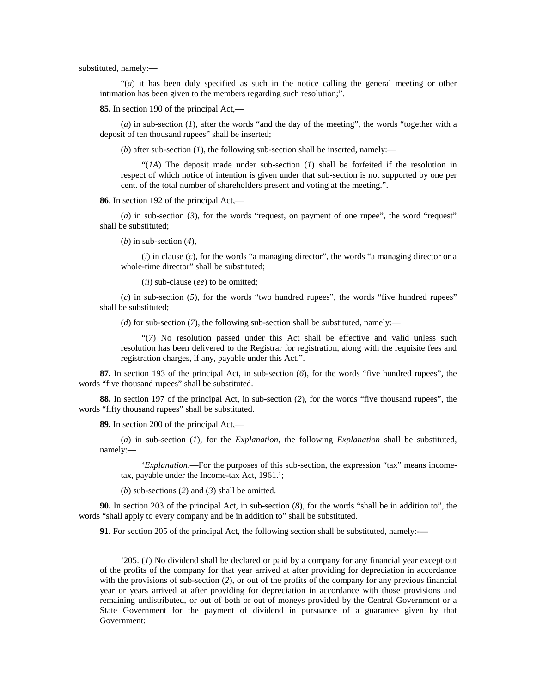substituted, namely:—

"(*a*) it has been duly specified as such in the notice calling the general meeting or other intimation has been given to the members regarding such resolution;".

**85.** In section 190 of the principal Act,—

(*a*) in sub-section (*1*), after the words "and the day of the meeting", the words "together with a deposit of ten thousand rupees" shall be inserted;

(*b*) after sub-section (*1*), the following sub-section shall be inserted, namely:—

"(*1A*) The deposit made under sub-section (*1*) shall be forfeited if the resolution in respect of which notice of intention is given under that sub-section is not supported by one per cent. of the total number of shareholders present and voting at the meeting.".

**86**. In section 192 of the principal Act,—

(*a*) in sub-section (*3*), for the words "request, on payment of one rupee", the word "request" shall be substituted;

(*b*) in sub-section (*4*),—

(*i*) in clause (*c*), for the words "a managing director", the words "a managing director or a whole-time director" shall be substituted;

(*ii*) sub-clause (*ee*) to be omitted;

(*c*) in sub-section (*5*), for the words "two hundred rupees", the words "five hundred rupees" shall be substituted;

(*d*) for sub-section (*7*), the following sub-section shall be substituted, namely:—

"(*7*) No resolution passed under this Act shall be effective and valid unless such resolution has been delivered to the Registrar for registration, along with the requisite fees and registration charges, if any, payable under this Act.".

**87.** In section 193 of the principal Act, in sub-section (*6*), for the words "five hundred rupees", the words "five thousand rupees" shall be substituted.

**88.** In section 197 of the principal Act, in sub-section (*2*), for the words "five thousand rupees", the words "fifty thousand rupees" shall be substituted.

**89.** In section 200 of the principal Act,—

(*a*) in sub-section (*1*), for the *Explanation*, the following *Explanation* shall be substituted, namely:—

'*Explanation*.—For the purposes of this sub-section, the expression "tax" means incometax, payable under the Income-tax Act, 1961.';

(*b*) sub-sections (2) and (3) shall be omitted.

**90.** In section 203 of the principal Act, in sub-section (*8*), for the words "shall be in addition to", the words "shall apply to every company and be in addition to" shall be substituted.

**91.** For section 205 of the principal Act, the following section shall be substituted, namely:-**—** 

'205. (*1*) No dividend shall be declared or paid by a company for any financial year except out of the profits of the company for that year arrived at after providing for depreciation in accordance with the provisions of sub-section (*2*), or out of the profits of the company for any previous financial year or years arrived at after providing for depreciation in accordance with those provisions and remaining undistributed, or out of both or out of moneys provided by the Central Government or a State Government for the payment of dividend in pursuance of a guarantee given by that Government: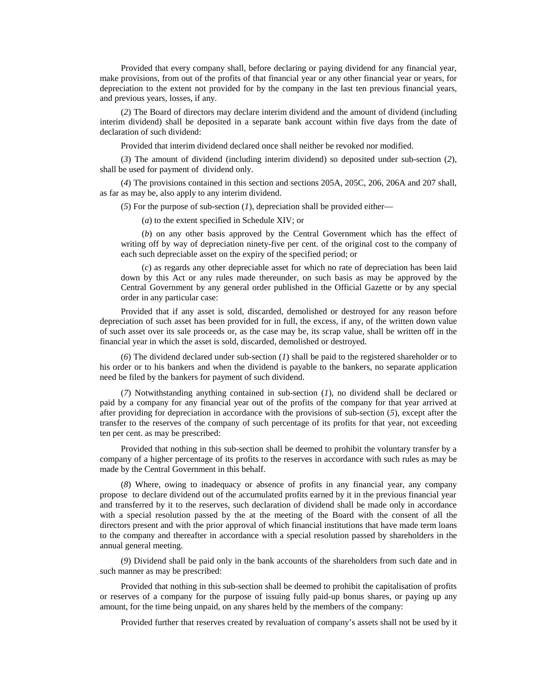Provided that every company shall, before declaring or paying dividend for any financial year, make provisions, from out of the profits of that financial year or any other financial year or years, for depreciation to the extent not provided for by the company in the last ten previous financial years, and previous years, losses, if any.

(*2*) The Board of directors may declare interim dividend and the amount of dividend (including interim dividend) shall be deposited in a separate bank account within five days from the date of declaration of such dividend:

Provided that interim dividend declared once shall neither be revoked nor modified.

(*3*) The amount of dividend (including interim dividend) so deposited under sub-section (*2*), shall be used for payment of dividend only.

(*4*) The provisions contained in this section and sections 205A, 205C, 206, 206A and 207 shall, as far as may be, also apply to any interim dividend.

(*5*) For the purpose of sub-section (*1*), depreciation shall be provided either—

(*a*) to the extent specified in Schedule XIV; or

(*b*) on any other basis approved by the Central Government which has the effect of writing off by way of depreciation ninety-five per cent. of the original cost to the company of each such depreciable asset on the expiry of the specified period; or

(*c*) as regards any other depreciable asset for which no rate of depreciation has been laid down by this Act or any rules made thereunder, on such basis as may be approved by the Central Government by any general order published in the Official Gazette or by any special order in any particular case:

Provided that if any asset is sold, discarded, demolished or destroyed for any reason before depreciation of such asset has been provided for in full, the excess, if any, of the written down value of such asset over its sale proceeds or, as the case may be, its scrap value, shall be written off in the financial year in which the asset is sold, discarded, demolished or destroyed.

(*6*) The dividend declared under sub-section (*1*) shall be paid to the registered shareholder or to his order or to his bankers and when the dividend is payable to the bankers, no separate application need be filed by the bankers for payment of such dividend.

(*7*) Notwithstanding anything contained in sub-section (*1*), no dividend shall be declared or paid by a company for any financial year out of the profits of the company for that year arrived at after providing for depreciation in accordance with the provisions of sub-section (*5*), except after the transfer to the reserves of the company of such percentage of its profits for that year, not exceeding ten per cent. as may be prescribed:

Provided that nothing in this sub-section shall be deemed to prohibit the voluntary transfer by a company of a higher percentage of its profits to the reserves in accordance with such rules as may be made by the Central Government in this behalf.

(*8*) Where, owing to inadequacy or absence of profits in any financial year, any company propose to declare dividend out of the accumulated profits earned by it in the previous financial year and transferred by it to the reserves, such declaration of dividend shall be made only in accordance with a special resolution passed by the at the meeting of the Board with the consent of all the directors present and with the prior approval of which financial institutions that have made term loans to the company and thereafter in accordance with a special resolution passed by shareholders in the annual general meeting.

(*9*) Dividend shall be paid only in the bank accounts of the shareholders from such date and in such manner as may be prescribed:

Provided that nothing in this sub-section shall be deemed to prohibit the capitalisation of profits or reserves of a company for the purpose of issuing fully paid-up bonus shares, or paying up any amount, for the time being unpaid, on any shares held by the members of the company:

Provided further that reserves created by revaluation of company's assets shall not be used by it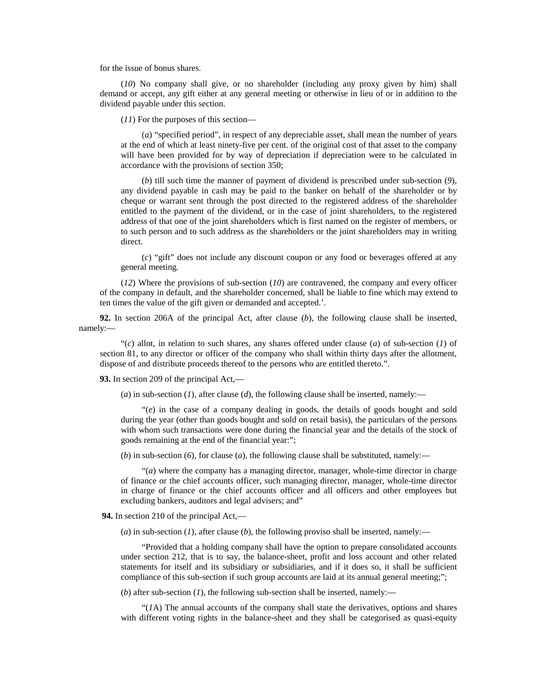for the issue of bonus shares.

(*10*) No company shall give, or no shareholder (including any proxy given by him) shall demand or accept, any gift either at any general meeting or otherwise in lieu of or in addition to the dividend payable under this section.

(*11*) For the purposes of this section—

(*a*) "specified period", in respect of any depreciable asset, shall mean the number of years at the end of which at least ninety-five per cent. of the original cost of that asset to the company will have been provided for by way of depreciation if depreciation were to be calculated in accordance with the provisions of section 350;

(*b*) till such time the manner of payment of dividend is prescribed under sub-section (*9*), any dividend payable in cash may be paid to the banker on behalf of the shareholder or by cheque or warrant sent through the post directed to the registered address of the shareholder entitled to the payment of the dividend, or in the case of joint shareholders, to the registered address of that one of the joint shareholders which is first named on the register of members, or to such person and to such address as the shareholders or the joint shareholders may in writing direct.

(*c*) "gift" does not include any discount coupon or any food or beverages offered at any general meeting.

(*12*) Where the provisions of sub-section (*10*) are contravened, the company and every officer of the company in default, and the shareholder concerned, shall be liable to fine which may extend to ten times the value of the gift given or demanded and accepted.'.

**92.** In section 206A of the principal Act, after clause (*b*), the following clause shall be inserted, namely:—

"(*c*) allot, in relation to such shares, any shares offered under clause (*a*) of sub-section (*1*) of section 81, to any director or officer of the company who shall within thirty days after the allotment, dispose of and distribute proceeds thereof to the persons who are entitled thereto.".

**93.** In section 209 of the principal Act,—

 $(a)$  in sub-section  $(I)$ , after clause  $(d)$ , the following clause shall be inserted, namely:—

"(*e*) in the case of a company dealing in goods, the details of goods bought and sold during the year (other than goods bought and sold on retail basis), the particulars of the persons with whom such transactions were done during the financial year and the details of the stock of goods remaining at the end of the financial year:";

 $(b)$  in sub-section  $(b)$ , for clause  $(a)$ , the following clause shall be substituted, namely:—

"(*a*) where the company has a managing director, manager, whole-time director in charge of finance or the chief accounts officer, such managing director, manager, whole-time director in charge of finance or the chief accounts officer and all officers and other employees but excluding bankers, auditors and legal advisers; and"

**94.** In section 210 of the principal Act,—

(*a*) in sub-section (*1*), after clause (*b*), the following proviso shall be inserted, namely:—

"Provided that a holding company shall have the option to prepare consolidated accounts under section 212, that is to say, the balance-sheet, profit and loss account and other related statements for itself and its subsidiary or subsidiaries, and if it does so, it shall be sufficient compliance of this sub-section if such group accounts are laid at its annual general meeting;";

(*b*) after sub-section (*1*), the following sub-section shall be inserted, namely:—

"(*1*A) The annual accounts of the company shall state the derivatives, options and shares with different voting rights in the balance-sheet and they shall be categorised as quasi-equity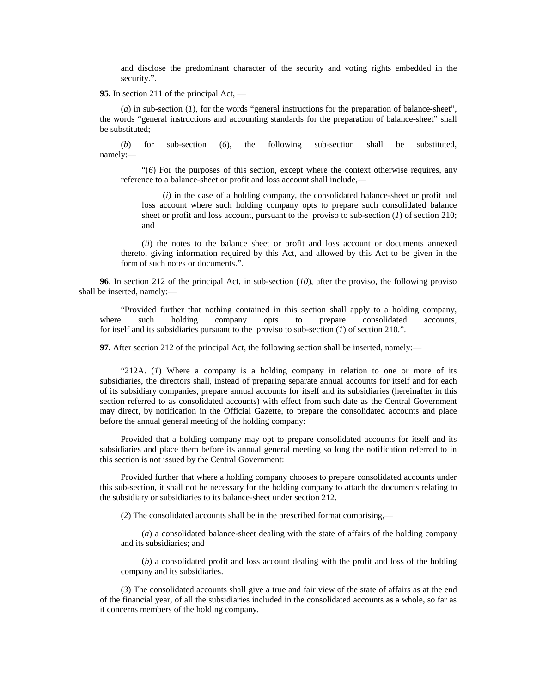and disclose the predominant character of the security and voting rights embedded in the security.".

**95.** In section 211 of the principal Act, —

(*a*) in sub-section (*1*), for the words "general instructions for the preparation of balance-sheet", the words "general instructions and accounting standards for the preparation of balance-sheet" shall be substituted;

(*b*) for sub-section (*6*), the following sub-section shall be substituted, namely:—

"(*6*) For the purposes of this section, except where the context otherwise requires, any reference to a balance-sheet or profit and loss account shall include,—

(*i*) in the case of a holding company, the consolidated balance-sheet or profit and loss account where such holding company opts to prepare such consolidated balance sheet or profit and loss account, pursuant to the proviso to sub-section (*1*) of section 210; and

(*ii*) the notes to the balance sheet or profit and loss account or documents annexed thereto, giving information required by this Act, and allowed by this Act to be given in the form of such notes or documents.".

**96**. In section 212 of the principal Act, in sub-section (*10*), after the proviso, the following proviso shall be inserted, namely:—

"Provided further that nothing contained in this section shall apply to a holding company, where such holding company opts to prepare consolidated accounts, for itself and its subsidiaries pursuant to the proviso to sub-section (*1*) of section 210.".

**97.** After section 212 of the principal Act, the following section shall be inserted, namely:—

"212A. (*1*) Where a company is a holding company in relation to one or more of its subsidiaries, the directors shall, instead of preparing separate annual accounts for itself and for each of its subsidiary companies, prepare annual accounts for itself and its subsidiaries (hereinafter in this section referred to as consolidated accounts) with effect from such date as the Central Government may direct, by notification in the Official Gazette, to prepare the consolidated accounts and place before the annual general meeting of the holding company:

Provided that a holding company may opt to prepare consolidated accounts for itself and its subsidiaries and place them before its annual general meeting so long the notification referred to in this section is not issued by the Central Government:

Provided further that where a holding company chooses to prepare consolidated accounts under this sub-section, it shall not be necessary for the holding company to attach the documents relating to the subsidiary or subsidiaries to its balance-sheet under section 212.

(*2*) The consolidated accounts shall be in the prescribed format comprising,—

(*a*) a consolidated balance-sheet dealing with the state of affairs of the holding company and its subsidiaries; and

(*b*) a consolidated profit and loss account dealing with the profit and loss of the holding company and its subsidiaries.

(*3*) The consolidated accounts shall give a true and fair view of the state of affairs as at the end of the financial year, of all the subsidiaries included in the consolidated accounts as a whole, so far as it concerns members of the holding company.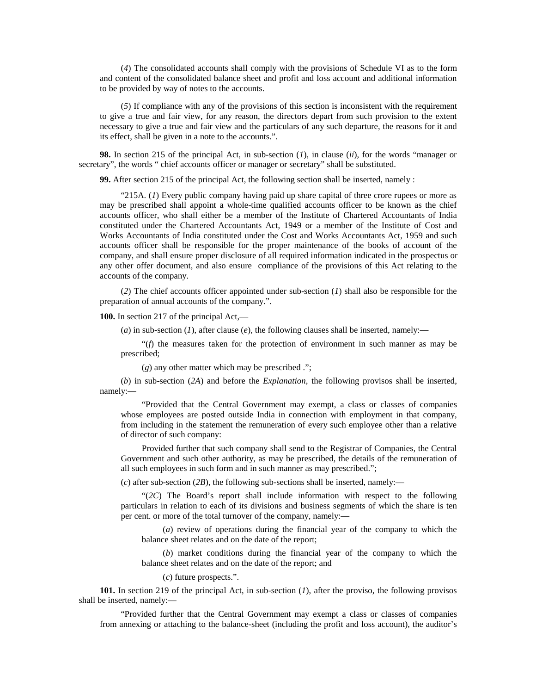(*4*) The consolidated accounts shall comply with the provisions of Schedule VI as to the form and content of the consolidated balance sheet and profit and loss account and additional information to be provided by way of notes to the accounts.

(*5*) If compliance with any of the provisions of this section is inconsistent with the requirement to give a true and fair view, for any reason, the directors depart from such provision to the extent necessary to give a true and fair view and the particulars of any such departure, the reasons for it and its effect, shall be given in a note to the accounts.".

**98.** In section 215 of the principal Act, in sub-section (*1*), in clause (*ii*), for the words "manager or secretary", the words " chief accounts officer or manager or secretary" shall be substituted.

**99.** After section 215 of the principal Act, the following section shall be inserted, namely :

"215A. (*1*) Every public company having paid up share capital of three crore rupees or more as may be prescribed shall appoint a whole-time qualified accounts officer to be known as the chief accounts officer, who shall either be a member of the Institute of Chartered Accountants of India constituted under the Chartered Accountants Act, 1949 or a member of the Institute of Cost and Works Accountants of India constituted under the Cost and Works Accountants Act, 1959 and such accounts officer shall be responsible for the proper maintenance of the books of account of the company, and shall ensure proper disclosure of all required information indicated in the prospectus or any other offer document, and also ensure compliance of the provisions of this Act relating to the accounts of the company.

(*2*) The chief accounts officer appointed under sub-section (*1*) shall also be responsible for the preparation of annual accounts of the company.".

**100.** In section 217 of the principal Act,—

(*a*) in sub-section (*1*), after clause (*e*), the following clauses shall be inserted, namely:—

"(*f*) the measures taken for the protection of environment in such manner as may be prescribed;

(*g*) any other matter which may be prescribed .";

(*b*) in sub-section (*2A*) and before the *Explanation*, the following provisos shall be inserted, namely:—

"Provided that the Central Government may exempt, a class or classes of companies whose employees are posted outside India in connection with employment in that company, from including in the statement the remuneration of every such employee other than a relative of director of such company:

Provided further that such company shall send to the Registrar of Companies, the Central Government and such other authority, as may be prescribed, the details of the remuneration of all such employees in such form and in such manner as may prescribed.";

(*c*) after sub-section (*2B*), the following sub-sections shall be inserted, namely:—

"(*2C*) The Board's report shall include information with respect to the following particulars in relation to each of its divisions and business segments of which the share is ten per cent. or more of the total turnover of the company, namely:—

(*a*) review of operations during the financial year of the company to which the balance sheet relates and on the date of the report;

(*b*) market conditions during the financial year of the company to which the balance sheet relates and on the date of the report; and

(*c*) future prospects.".

**101.** In section 219 of the principal Act, in sub-section (*1*), after the proviso, the following provisos shall be inserted, namely:—

"Provided further that the Central Government may exempt a class or classes of companies from annexing or attaching to the balance-sheet (including the profit and loss account), the auditor's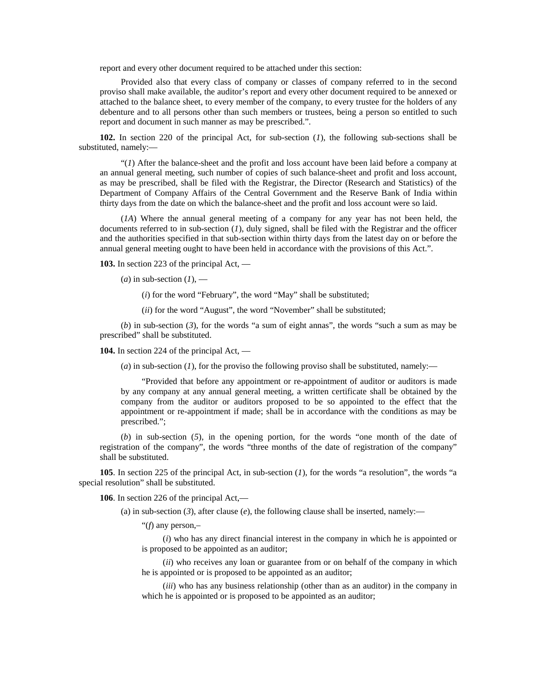report and every other document required to be attached under this section:

Provided also that every class of company or classes of company referred to in the second proviso shall make available, the auditor's report and every other document required to be annexed or attached to the balance sheet, to every member of the company, to every trustee for the holders of any debenture and to all persons other than such members or trustees, being a person so entitled to such report and document in such manner as may be prescribed.".

**102.** In section 220 of the principal Act, for sub-section (*1*), the following sub-sections shall be substituted, namely:—

"(*1*) After the balance-sheet and the profit and loss account have been laid before a company at an annual general meeting, such number of copies of such balance-sheet and profit and loss account, as may be prescribed, shall be filed with the Registrar, the Director (Research and Statistics) of the Department of Company Affairs of the Central Government and the Reserve Bank of India within thirty days from the date on which the balance-sheet and the profit and loss account were so laid.

(*1A*) Where the annual general meeting of a company for any year has not been held, the documents referred to in sub-section (*1*), duly signed, shall be filed with the Registrar and the officer and the authorities specified in that sub-section within thirty days from the latest day on or before the annual general meeting ought to have been held in accordance with the provisions of this Act.".

**103.** In section 223 of the principal Act, —

 $(a)$  in sub-section  $(1)$ , —

(*i*) for the word "February", the word "May" shall be substituted;

(*ii*) for the word "August", the word "November" shall be substituted;

(*b*) in sub-section (*3*), for the words "a sum of eight annas", the words "such a sum as may be prescribed" shall be substituted.

**104.** In section 224 of the principal Act, —

 $(a)$  in sub-section  $(I)$ , for the proviso the following proviso shall be substituted, namely:—

"Provided that before any appointment or re-appointment of auditor or auditors is made by any company at any annual general meeting, a written certificate shall be obtained by the company from the auditor or auditors proposed to be so appointed to the effect that the appointment or re-appointment if made; shall be in accordance with the conditions as may be prescribed.";

(*b*) in sub-section (*5*), in the opening portion, for the words "one month of the date of registration of the company", the words "three months of the date of registration of the company" shall be substituted.

**105**. In section 225 of the principal Act, in sub-section (*1*), for the words "a resolution", the words "a special resolution" shall be substituted.

**106**. In section 226 of the principal Act,—

(a) in sub-section  $(3)$ , after clause  $(e)$ , the following clause shall be inserted, namely:—

"(*f*) any person,–

(*i*) who has any direct financial interest in the company in which he is appointed or is proposed to be appointed as an auditor;

(*ii*) who receives any loan or guarantee from or on behalf of the company in which he is appointed or is proposed to be appointed as an auditor;

(*iii*) who has any business relationship (other than as an auditor) in the company in which he is appointed or is proposed to be appointed as an auditor;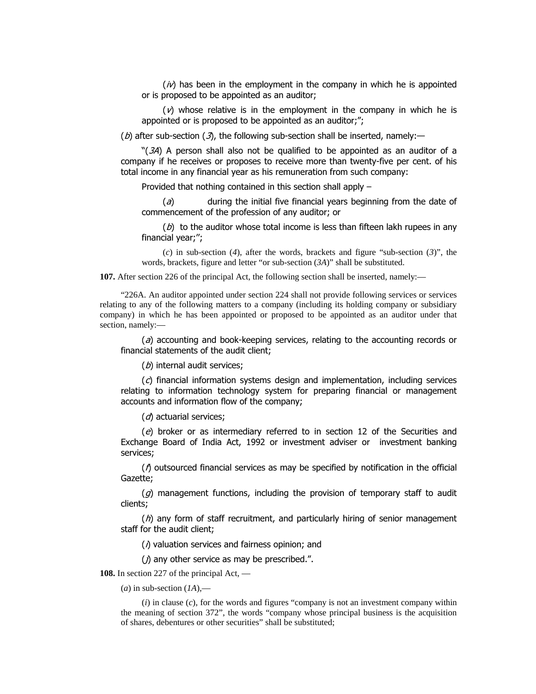$\langle i \nu \rangle$  has been in the employment in the company in which he is appointed or is proposed to be appointed as an auditor;

 $(\nu)$  whose relative is in the employment in the company in which he is appointed or is proposed to be appointed as an auditor;";

(b) after sub-section (3), the following sub-section shall be inserted, namely:—

" $(3)$  A person shall also not be qualified to be appointed as an auditor of a company if he receives or proposes to receive more than twenty-five per cent. of his total income in any financial year as his remuneration from such company:

Provided that nothing contained in this section shall apply  $-$ 

 $\partial(\partial t)$  during the initial five financial years beginning from the date of commencement of the profession of any auditor; or

 $(b)$  to the auditor whose total income is less than fifteen lakh rupees in any financial year;";

(*c*) in sub-section (*4*), after the words, brackets and figure "sub-section (*3*)", the words, brackets, figure and letter "or sub-section (*3A*)" shall be substituted.

**107.** After section 226 of the principal Act, the following section shall be inserted, namely:—

"226A. An auditor appointed under section 224 shall not provide following services or services relating to any of the following matters to a company (including its holding company or subsidiary company) in which he has been appointed or proposed to be appointed as an auditor under that section, namely:—

 $\alpha$ ) accounting and book-keeping services, relating to the accounting records or financial statements of the audit client;

 $(b)$  internal audit services;

 $(c)$  financial information systems design and implementation, including services relating to information technology system for preparing financial or management accounts and information flow of the company;

 $(d)$  actuarial services;

 $(e)$  broker or as intermediary referred to in section 12 of the Securities and Exchange Board of India Act, 1992 or investment adviser or investment banking services;

 $\Lambda$  outsourced financial services as may be specified by notification in the official Gazette;

 $(q)$  management functions, including the provision of temporary staff to audit clients;

 $(h)$  any form of staff recruitment, and particularly hiring of senior management staff for the audit client;

 $(\Lambda)$  valuation services and fairness opinion; and

 $J$ ) any other service as may be prescribed.".

**108.** In section 227 of the principal Act, —

 $(a)$  in sub-section  $(1A)$ ,—

(*i*) in clause (*c*), for the words and figures "company is not an investment company within the meaning of section 372", the words "company whose principal business is the acquisition of shares, debentures or other securities" shall be substituted;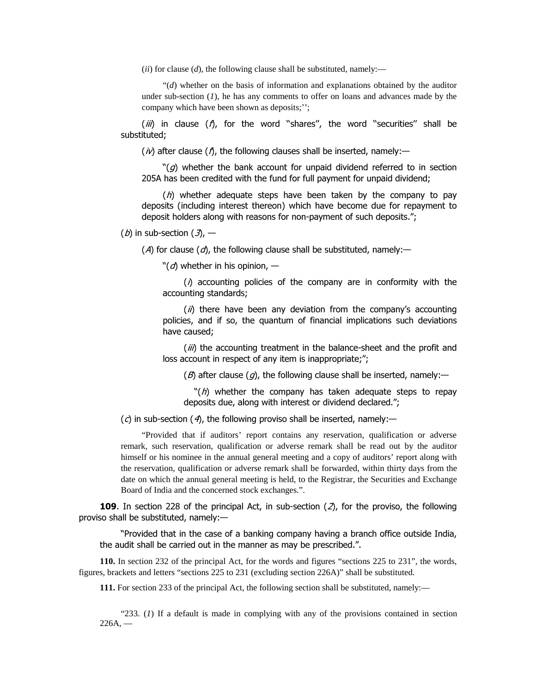(*ii*) for clause (*d*), the following clause shall be substituted, namely:—

"(*d*) whether on the basis of information and explanations obtained by the auditor under sub-section (*1*), he has any comments to offer on loans and advances made by the company which have been shown as deposits;'';

 $(iii)$  in clause  $(i)$ , for the word "shares", the word "securities" shall be substituted;

 $(n)$  after clause ( $n$ ), the following clauses shall be inserted, namely:—

" $(g)$  whether the bank account for unpaid dividend referred to in section 205A has been credited with the fund for full payment for unpaid dividend;

 $(h)$  whether adequate steps have been taken by the company to pay deposits (including interest thereon) which have become due for repayment to deposit holders along with reasons for non-payment of such deposits.";

## (*b*) in sub-section  $(3)$ , -

(A) for clause ( $d$ ), the following clause shall be substituted, namely:-

" $(d)$  whether in his opinion,  $-$ 

 $\lambda$  accounting policies of the company are in conformity with the accounting standards;

 $\mu$ ) there have been any deviation from the company's accounting policies, and if so, the quantum of financial implications such deviations have caused;

 $(iii)$  the accounting treatment in the balance-sheet and the profit and loss account in respect of any item is inappropriate;";

 $(B)$  after clause  $(g)$ , the following clause shall be inserted, namely:—

" $(h)$  whether the company has taken adequate steps to repay deposits due, along with interest or dividend declared.";

 $\Gamma(c)$  in sub-section (4), the following proviso shall be inserted, namely:—

"Provided that if auditors' report contains any reservation, qualification or adverse remark, such reservation, qualification or adverse remark shall be read out by the auditor himself or his nominee in the annual general meeting and a copy of auditors' report along with the reservation, qualification or adverse remark shall be forwarded, within thirty days from the date on which the annual general meeting is held, to the Registrar, the Securities and Exchange Board of India and the concerned stock exchanges.".

**109.** In section 228 of the principal Act, in sub-section  $(2)$ , for the proviso, the following proviso shall be substituted, namely: $-$ 

"Provided that in the case of a banking company having a branch office outside India, the audit shall be carried out in the manner as may be prescribed.".

**110.** In section 232 of the principal Act, for the words and figures "sections 225 to 231", the words, figures, brackets and letters "sections 225 to 231 (excluding section 226A)" shall be substituted.

**111.** For section 233 of the principal Act, the following section shall be substituted, namely:—

"233. (*1*) If a default is made in complying with any of the provisions contained in section  $226A$ . —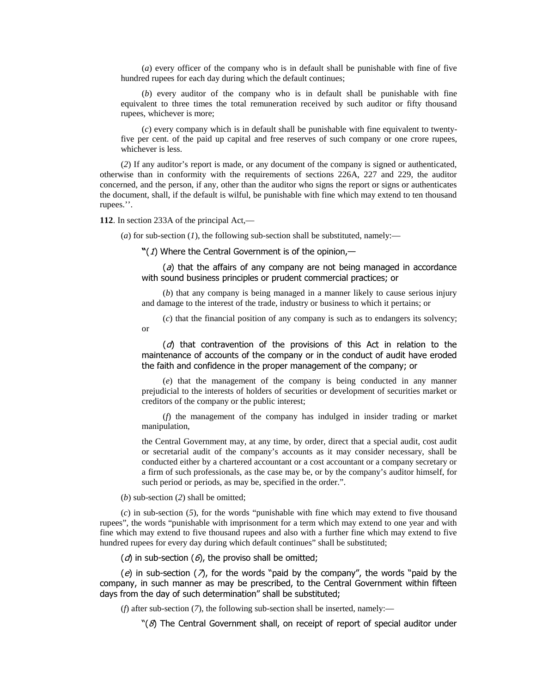(*a*) every officer of the company who is in default shall be punishable with fine of five hundred rupees for each day during which the default continues;

(*b*) every auditor of the company who is in default shall be punishable with fine equivalent to three times the total remuneration received by such auditor or fifty thousand rupees, whichever is more;

(*c*) every company which is in default shall be punishable with fine equivalent to twentyfive per cent. of the paid up capital and free reserves of such company or one crore rupees, whichever is less.

(*2*) If any auditor's report is made, or any document of the company is signed or authenticated, otherwise than in conformity with the requirements of sections 226A, 227 and 229, the auditor concerned, and the person, if any, other than the auditor who signs the report or signs or authenticates the document, shall, if the default is wilful, be punishable with fine which may extend to ten thousand rupees.''.

**112**. In section 233A of the principal Act,—

(*a*) for sub-section (*1*), the following sub-section shall be substituted, namely:—

 $\mathbf{N}(1)$  Where the Central Government is of the opinion,—

 $\alpha$ ) that the affairs of any company are not being managed in accordance with sound business principles or prudent commercial practices; or

(*b*) that any company is being managed in a manner likely to cause serious injury and damage to the interest of the trade, industry or business to which it pertains; or

(*c*) that the financial position of any company is such as to endangers its solvency; or

 $\alpha$  that contravention of the provisions of this Act in relation to the maintenance of accounts of the company or in the conduct of audit have eroded the faith and confidence in the proper management of the company; or

(*e*) that the management of the company is being conducted in any manner prejudicial to the interests of holders of securities or development of securities market or creditors of the company or the public interest;

(*f*) the management of the company has indulged in insider trading or market manipulation,

the Central Government may, at any time, by order, direct that a special audit, cost audit or secretarial audit of the company's accounts as it may consider necessary, shall be conducted either by a chartered accountant or a cost accountant or a company secretary or a firm of such professionals, as the case may be, or by the company's auditor himself, for such period or periods, as may be, specified in the order.".

(*b*) sub-section (*2*) shall be omitted;

(*c*) in sub-section (*5*), for the words "punishable with fine which may extend to five thousand rupees", the words "punishable with imprisonment for a term which may extend to one year and with fine which may extend to five thousand rupees and also with a further fine which may extend to five hundred rupees for every day during which default continues" shall be substituted;

 $(d)$  in sub-section  $(\theta)$ , the proviso shall be omitted;

(e) in sub-section ( $\lambda$ ), for the words "paid by the company", the words "paid by the company, in such manner as may be prescribed, to the Central Government within fifteen days from the day of such determination" shall be substituted;

(*f*) after sub-section (*7*), the following sub-section shall be inserted, namely:—

" $(\mathcal{S})$  The Central Government shall, on receipt of report of special auditor under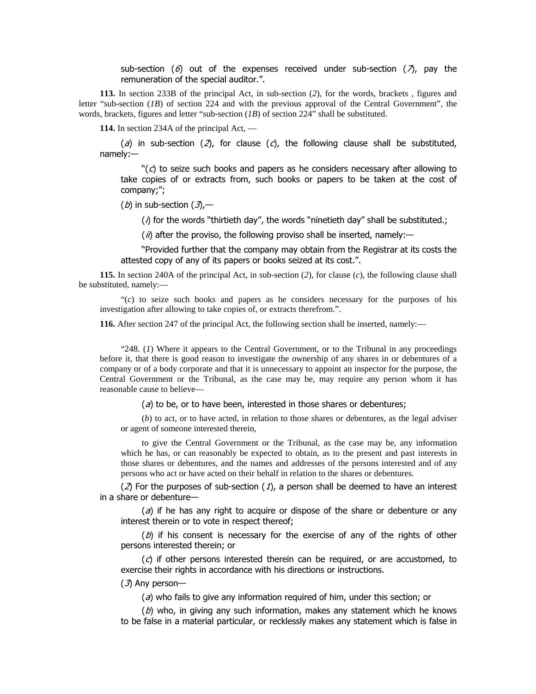sub-section (6) out of the expenses received under sub-section ( $\lambda$ ), pay the remuneration of the special auditor.".

**113.** In section 233B of the principal Act, in sub-section (*2*), for the words, brackets , figures and letter "sub-section (*1B*) of section 224 and with the previous approval of the Central Government", the words, brackets, figures and letter "sub-section (*1B*) of section 224" shall be substituted.

**114.** In section 234A of the principal Act, —

(a) in sub-section (2), for clause (c), the following clause shall be substituted, namely:-

 $\degree$ (c) to seize such books and papers as he considers necessary after allowing to take copies of or extracts from, such books or papers to be taken at the cost of company;";

(b) in sub-section  $(3,$ -

 $(\Lambda)$  for the words "thirtieth day", the words "ninetieth day" shall be substituted.;

 $\hat{I}$  (*ii*) after the proviso, the following proviso shall be inserted, namely:—

"Provided further that the company may obtain from the Registrar at its costs the attested copy of any of its papers or books seized at its cost.".

**115.** In section 240A of the principal Act, in sub-section (*2*), for clause (*c*), the following clause shall be substituted, namely:—

"(*c*) to seize such books and papers as he considers necessary for the purposes of his investigation after allowing to take copies of, or extracts therefrom.".

**116.** After section 247 of the principal Act, the following section shall be inserted, namely:—

"248. (*1*) Where it appears to the Central Government, or to the Tribunal in any proceedings before it, that there is good reason to investigate the ownership of any shares in or debentures of a company or of a body corporate and that it is unnecessary to appoint an inspector for the purpose, the Central Government or the Tribunal, as the case may be, may require any person whom it has reasonable cause to believe—

 $\alpha$ ) to be, or to have been, interested in those shares or debentures;

(*b*) to act, or to have acted, in relation to those shares or debentures, as the legal adviser or agent of someone interested therein,

to give the Central Government or the Tribunal, as the case may be, any information which he has, or can reasonably be expected to obtain, as to the present and past interests in those shares or debentures, and the names and addresses of the persons interested and of any persons who act or have acted on their behalf in relation to the shares or debentures.

 $(2)$  For the purposes of sub-section  $(1)$ , a person shall be deemed to have an interest in a share or debenture-

 $\partial$  if he has any right to acquire or dispose of the share or debenture or any interest therein or to vote in respect thereof;

 $(D)$  if his consent is necessary for the exercise of any of the rights of other persons interested therein; or

 $(c)$  if other persons interested therein can be required, or are accustomed, to exercise their rights in accordance with his directions or instructions.

 $(3)$  Any person-

 $\alpha$ ) who fails to give any information required of him, under this section; or

 $(D)$  who, in giving any such information, makes any statement which he knows to be false in a material particular, or recklessly makes any statement which is false in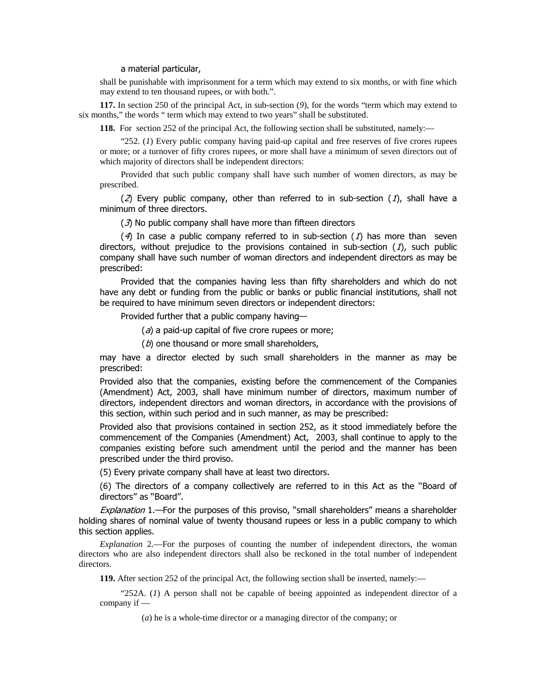### a material particular,

shall be punishable with imprisonment for a term which may extend to six months, or with fine which may extend to ten thousand rupees, or with both.".

**117.** In section 250 of the principal Act, in sub-section (*9*), for the words "term which may extend to six months," the words " term which may extend to two years" shall be substituted.

**118.** For section 252 of the principal Act, the following section shall be substituted, namely:—

"252. (*1*) Every public company having paid-up capital and free reserves of five crores rupees or more; or a turnover of fifty crores rupees, or more shall have a minimum of seven directors out of which majority of directors shall be independent directors:

Provided that such public company shall have such number of women directors, as may be prescribed.

(2) Every public company, other than referred to in sub-section (1), shall have a minimum of three directors.

 $(3)$  No public company shall have more than fifteen directors

(4) In case a public company referred to in sub-section (1) has more than seven directors, without prejudice to the provisions contained in sub-section  $(1)$ , such public company shall have such number of woman directors and independent directors as may be prescribed:

Provided that the companies having less than fifty shareholders and which do not have any debt or funding from the public or banks or public financial institutions, shall not be required to have minimum seven directors or independent directors:

Provided further that a public company having-

 $\partial(a)$  a paid-up capital of five crore rupees or more;

 $(b)$  one thousand or more small shareholders,

may have a director elected by such small shareholders in the manner as may be prescribed:

Provided also that the companies, existing before the commencement of the Companies (Amendment) Act, 2003, shall have minimum number of directors, maximum number of directors, independent directors and woman directors, in accordance with the provisions of this section, within such period and in such manner, as may be prescribed:

Provided also that provisions contained in section 252, as it stood immediately before the commencement of the Companies (Amendment) Act, 2003, shall continue to apply to the companies existing before such amendment until the period and the manner has been prescribed under the third proviso.

(5) Every private company shall have at least two directors.

 $(6)$  The directors of a company collectively are referred to in this Act as the "Board of directors" as "Board".

Explanation 1.- For the purposes of this proviso, "small shareholders" means a shareholder holding shares of nominal value of twenty thousand rupees or less in a public company to which this section applies.

*Explanation* 2.—For the purposes of counting the number of independent directors, the woman directors who are also independent directors shall also be reckoned in the total number of independent directors.

**119.** After section 252 of the principal Act, the following section shall be inserted, namely:—

"252A. (*1*) A person shall not be capable of beeing appointed as independent director of a company if —

(*a*) he is a whole-time director or a managing director of the company; or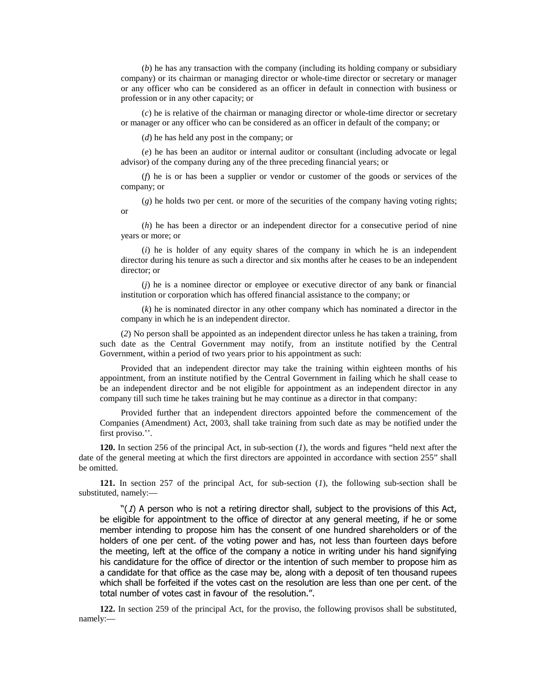(*b*) he has any transaction with the company (including its holding company or subsidiary company) or its chairman or managing director or whole-time director or secretary or manager or any officer who can be considered as an officer in default in connection with business or profession or in any other capacity; or

(*c*) he is relative of the chairman or managing director or whole-time director or secretary or manager or any officer who can be considered as an officer in default of the company; or

(*d*) he has held any post in the company; or

(*e*) he has been an auditor or internal auditor or consultant (including advocate or legal advisor) of the company during any of the three preceding financial years; or

(*f*) he is or has been a supplier or vendor or customer of the goods or services of the company; or

(*g*) he holds two per cent. or more of the securities of the company having voting rights; or

(*h*) he has been a director or an independent director for a consecutive period of nine years or more; or

(*i*) he is holder of any equity shares of the company in which he is an independent director during his tenure as such a director and six months after he ceases to be an independent director; or

(*j*) he is a nominee director or employee or executive director of any bank or financial institution or corporation which has offered financial assistance to the company; or

(*k*) he is nominated director in any other company which has nominated a director in the company in which he is an independent director.

(*2*) No person shall be appointed as an independent director unless he has taken a training, from such date as the Central Government may notify, from an institute notified by the Central Government, within a period of two years prior to his appointment as such:

Provided that an independent director may take the training within eighteen months of his appointment, from an institute notified by the Central Government in failing which he shall cease to be an independent director and be not eligible for appointment as an independent director in any company till such time he takes training but he may continue as a director in that company:

Provided further that an independent directors appointed before the commencement of the Companies (Amendment) Act, 2003, shall take training from such date as may be notified under the first proviso.''.

**120.** In section 256 of the principal Act, in sub-section (*1*), the words and figures "held next after the date of the general meeting at which the first directors are appointed in accordance with section 255" shall be omitted.

**121.** In section 257 of the principal Act, for sub-section (*1*), the following sub-section shall be substituted, namely:—

 $\mathcal{L}(I)$  A person who is not a retiring director shall, subject to the provisions of this Act, be eligible for appointment to the office of director at any general meeting, if he or some member intending to propose him has the consent of one hundred shareholders or of the holders of one per cent. of the voting power and has, not less than fourteen days before the meeting, left at the office of the company a notice in writing under his hand signifying his candidature for the office of director or the intention of such member to propose him as a candidate for that office as the case may be, along with a deposit of ten thousand rupees which shall be forfeited if the votes cast on the resolution are less than one per cent. of the total number of votes cast in favour of the resolution.".

**122.** In section 259 of the principal Act, for the proviso, the following provisos shall be substituted, namely:—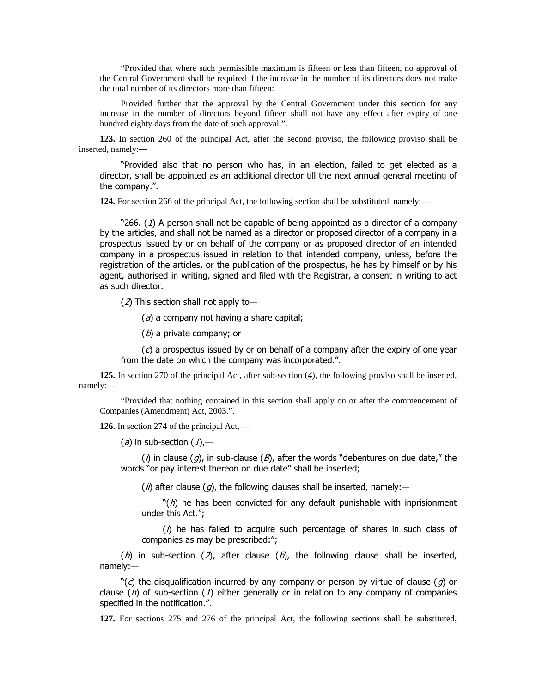"Provided that where such permissible maximum is fifteen or less than fifteen, no approval of the Central Government shall be required if the increase in the number of its directors does not make the total number of its directors more than fifteen:

Provided further that the approval by the Central Government under this section for any increase in the number of directors beyond fifteen shall not have any effect after expiry of one hundred eighty days from the date of such approval.".

**123.** In section 260 of the principal Act, after the second proviso, the following proviso shall be inserted, namely:—

"Provided also that no person who has, in an election, failed to get elected as a director, shall be appointed as an additional director till the next annual general meeting of the company.".

**124.** For section 266 of the principal Act, the following section shall be substituted, namely:—

"266.  $(1)$  A person shall not be capable of being appointed as a director of a company by the articles, and shall not be named as a director or proposed director of a company in a prospectus issued by or on behalf of the company or as proposed director of an intended company in a prospectus issued in relation to that intended company, unless, before the registration of the articles, or the publication of the prospectus, he has by himself or by his agent, authorised in writing, signed and filed with the Registrar, a consent in writing to act as such director.

( $2$ ) This section shall not apply to-

 $(a)$  a company not having a share capital;

 $(b)$  a private company; or

 $\Gamma(\mathcal{C})$  a prospectus issued by or on behalf of a company after the expiry of one year from the date on which the company was incorporated.".

**125.** In section 270 of the principal Act, after sub-section (*4*), the following proviso shall be inserted, namely:—

"Provided that nothing contained in this section shall apply on or after the commencement of Companies (Amendment) Act, 2003.".

**126.** In section 274 of the principal Act, —

 $(a)$  in sub-section  $(1)$ ,

( $\eta$ ) in clause ( $g$ ), in sub-clause ( $B$ ), after the words "debentures on due date," the words "or pay interest thereon on due date" shall be inserted;

(ii) after clause  $(g)$ , the following clauses shall be inserted, namely:—

 $\Re(\eta)$  he has been convicted for any default punishable with inprisionment under this Act.";

 $(\Lambda)$  he has failed to acquire such percentage of shares in such class of companies as may be prescribed:";

(b) in sub-section (2), after clause (b), the following clause shall be inserted,  $namelv:$ 

 $\Re(\epsilon)$  the disqualification incurred by any company or person by virtue of clause (q) or clause  $(h)$  of sub-section (1) either generally or in relation to any company of companies specified in the notification.".

**127.** For sections 275 and 276 of the principal Act, the following sections shall be substituted,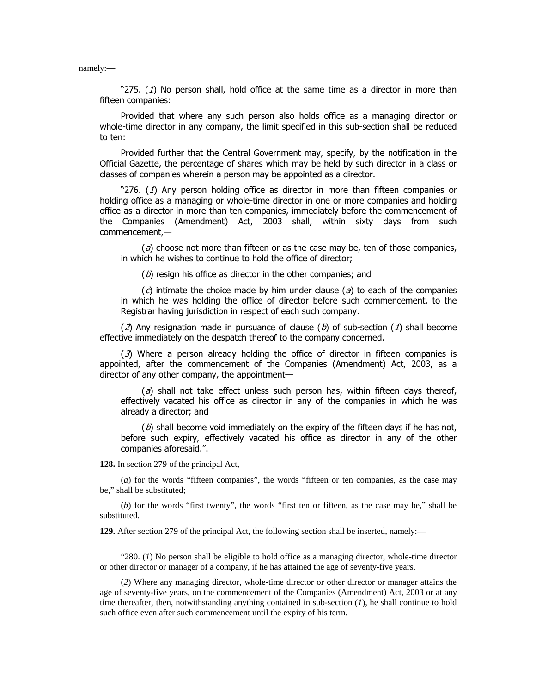namely:—

"275.  $(1)$  No person shall, hold office at the same time as a director in more than fifteen companies:

Provided that where any such person also holds office as a managing director or whole-time director in any company, the limit specified in this sub-section shall be reduced to ten:

Provided further that the Central Government may, specify, by the notification in the Official Gazette, the percentage of shares which may be held by such director in a class or classes of companies wherein a person may be appointed as a director.

"276. (1) Any person holding office as director in more than fifteen companies or holding office as a managing or whole-time director in one or more companies and holding office as a director in more than ten companies, immediately before the commencement of the Companies (Amendment) Act, 2003 shall, within sixty days from such commencement,-

 $\sigma$ ) choose not more than fifteen or as the case may be, ten of those companies, in which he wishes to continue to hold the office of director;

 $(b)$  resign his office as director in the other companies; and

 $\Gamma(\mathcal{C})$  intimate the choice made by him under clause (a) to each of the companies in which he was holding the office of director before such commencement, to the Registrar having jurisdiction in respect of each such company.

(2) Any resignation made in pursuance of clause (b) of sub-section (1) shall become effective immediately on the despatch thereof to the company concerned.

 $(3)$  Where a person already holding the office of director in fifteen companies is appointed, after the commencement of the Companies (Amendment) Act, 2003, as a director of any other company, the appointment-

 $\partial$  shall not take effect unless such person has, within fifteen days thereof, effectively vacated his office as director in any of the companies in which he was already a director; and

 $(b)$  shall become void immediately on the expiry of the fifteen days if he has not, before such expiry, effectively vacated his office as director in any of the other companies aforesaid.".

**128.** In section 279 of the principal Act, —

(*a*) for the words "fifteen companies", the words "fifteen or ten companies, as the case may be," shall be substituted;

(*b*) for the words "first twenty", the words "first ten or fifteen, as the case may be," shall be substituted.

**129.** After section 279 of the principal Act, the following section shall be inserted, namely:—

"280. (*1*) No person shall be eligible to hold office as a managing director, whole-time director or other director or manager of a company, if he has attained the age of seventy-five years.

(*2*) Where any managing director, whole-time director or other director or manager attains the age of seventy-five years, on the commencement of the Companies (Amendment) Act, 2003 or at any time thereafter, then, notwithstanding anything contained in sub-section (*1*), he shall continue to hold such office even after such commencement until the expiry of his term.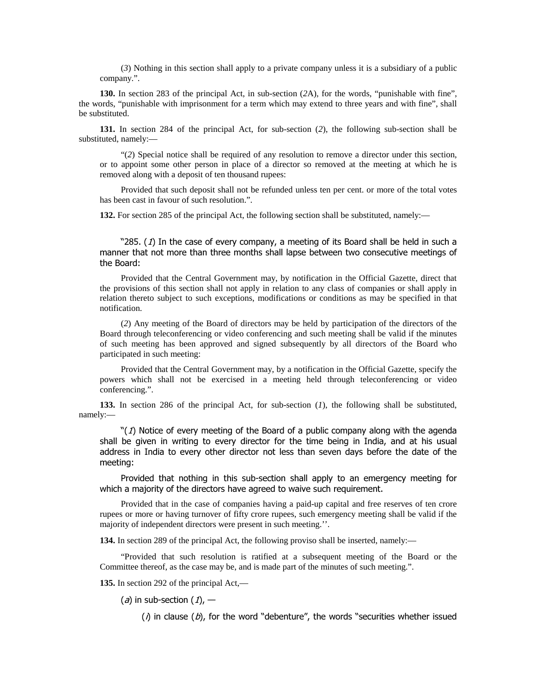(*3*) Nothing in this section shall apply to a private company unless it is a subsidiary of a public company.".

**130.** In section 283 of the principal Act, in sub-section (*2*A), for the words, "punishable with fine", the words, "punishable with imprisonment for a term which may extend to three years and with fine", shall be substituted.

**131.** In section 284 of the principal Act, for sub-section (*2*), the following sub-section shall be substituted, namely:—

"(*2*) Special notice shall be required of any resolution to remove a director under this section, or to appoint some other person in place of a director so removed at the meeting at which he is removed along with a deposit of ten thousand rupees:

Provided that such deposit shall not be refunded unless ten per cent. or more of the total votes has been cast in favour of such resolution.".

**132.** For section 285 of the principal Act, the following section shall be substituted, namely:—

"285. (1) In the case of every company, a meeting of its Board shall be held in such a manner that not more than three months shall lapse between two consecutive meetings of the Board:

Provided that the Central Government may, by notification in the Official Gazette, direct that the provisions of this section shall not apply in relation to any class of companies or shall apply in relation thereto subject to such exceptions, modifications or conditions as may be specified in that notification.

(*2*) Any meeting of the Board of directors may be held by participation of the directors of the Board through teleconferencing or video conferencing and such meeting shall be valid if the minutes of such meeting has been approved and signed subsequently by all directors of the Board who participated in such meeting:

Provided that the Central Government may, by a notification in the Official Gazette, specify the powers which shall not be exercised in a meeting held through teleconferencing or video conferencing.".

**133.** In section 286 of the principal Act, for sub-section (*1*), the following shall be substituted, namely:—

" $(1)$  Notice of every meeting of the Board of a public company along with the agenda shall be given in writing to every director for the time being in India, and at his usual address in India to every other director not less than seven days before the date of the meeting:

Provided that nothing in this sub-section shall apply to an emergency meeting for which a majority of the directors have agreed to waive such requirement.

Provided that in the case of companies having a paid-up capital and free reserves of ten crore rupees or more or having turnover of fifty crore rupees, such emergency meeting shall be valid if the majority of independent directors were present in such meeting.''.

**134.** In section 289 of the principal Act, the following proviso shall be inserted, namely:—

"Provided that such resolution is ratified at a subsequent meeting of the Board or the Committee thereof, as the case may be, and is made part of the minutes of such meeting.".

**135.** In section 292 of the principal Act,—

 $(a)$  in sub-section  $(1)$ ,  $-$ 

( $\eta$ ) in clause (b), for the word "debenture", the words "securities whether issued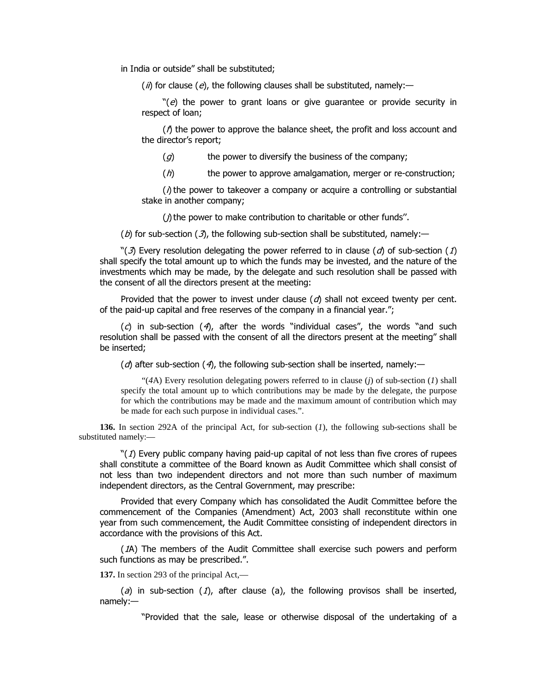in India or outside" shall be substituted;

 $\hat{I}$  (*ii*) for clause (*e*), the following clauses shall be substituted, namely:—

 $\Re(\epsilon)$  the power to grant loans or give guarantee or provide security in respect of loan;

 $I$  the power to approve the balance sheet, the profit and loss account and the director's report;

 $\mathcal{L}(q)$  the power to diversify the business of the company;

 $(h)$  the power to approve amalgamation, merger or re-construction;

 $\lambda$  the power to takeover a company or acquire a controlling or substantial stake in another company;

 $\eta$  the power to make contribution to charitable or other funds".

(b) for sub-section (3), the following sub-section shall be substituted, namely:—

"(3) Every resolution delegating the power referred to in clause (d) of sub-section (1) shall specify the total amount up to which the funds may be invested, and the nature of the investments which may be made, by the delegate and such resolution shall be passed with the consent of all the directors present at the meeting:

Provided that the power to invest under clause  $(d)$  shall not exceed twenty per cent. of the paid-up capital and free reserves of the company in a financial year.";

 $(c)$  in sub-section  $(4)$ , after the words "individual cases", the words "and such resolution shall be passed with the consent of all the directors present at the meeting" shall be inserted;

 $\partial$  after sub-section  $\partial$ , the following sub-section shall be inserted, namely:—

"(*4*A) Every resolution delegating powers referred to in clause (*j*) of sub-section (*1*) shall specify the total amount up to which contributions may be made by the delegate, the purpose for which the contributions may be made and the maximum amount of contribution which may be made for each such purpose in individual cases.".

**136.** In section 292A of the principal Act, for sub-section (*1*), the following sub-sections shall be substituted namely:—

" $(1)$  Every public company having paid-up capital of not less than five crores of rupees shall constitute a committee of the Board known as Audit Committee which shall consist of not less than two independent directors and not more than such number of maximum independent directors, as the Central Government, may prescribe:

Provided that every Company which has consolidated the Audit Committee before the commencement of the Companies (Amendment) Act, 2003 shall reconstitute within one year from such commencement, the Audit Committee consisting of independent directors in accordance with the provisions of this Act.

(1A) The members of the Audit Committee shall exercise such powers and perform such functions as may be prescribed.".

**137.** In section 293 of the principal Act,—

 $(a)$  in sub-section  $(1)$ , after clause  $(a)$ , the following provisos shall be inserted, namely:-

"Provided that the sale, lease or otherwise disposal of the undertaking of a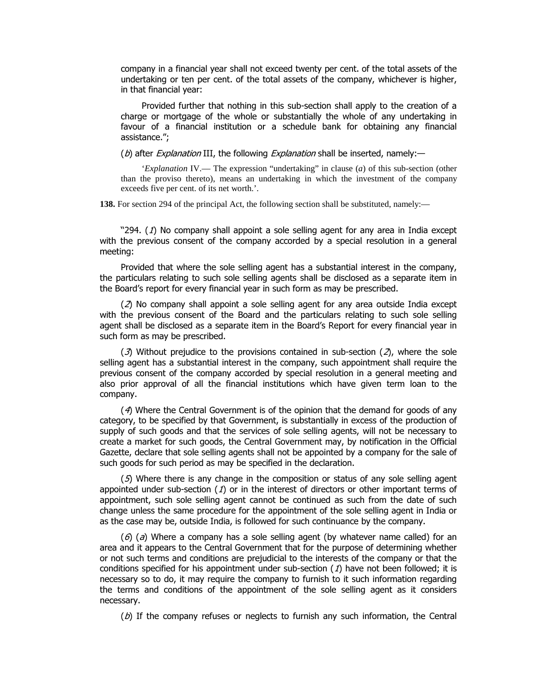company in a financial year shall not exceed twenty per cent. of the total assets of the undertaking or ten per cent. of the total assets of the company, whichever is higher, in that financial year:

Provided further that nothing in this sub-section shall apply to the creation of a charge or mortgage of the whole or substantially the whole of any undertaking in favour of a financial institution or a schedule bank for obtaining any financial assistance.":

(b) after *Explanation* III, the following *Explanation* shall be inserted, namely:—

'*Explanation* IV.— The expression "undertaking" in clause (*a*) of this sub-section (other than the proviso thereto), means an undertaking in which the investment of the company exceeds five per cent. of its net worth.'.

**138.** For section 294 of the principal Act, the following section shall be substituted, namely:—

"294.  $(1)$  No company shall appoint a sole selling agent for any area in India except with the previous consent of the company accorded by a special resolution in a general meeting:

Provided that where the sole selling agent has a substantial interest in the company, the particulars relating to such sole selling agents shall be disclosed as a separate item in the Board's report for every financial year in such form as may be prescribed.

 $(2)$  No company shall appoint a sole selling agent for any area outside India except with the previous consent of the Board and the particulars relating to such sole selling agent shall be disclosed as a separate item in the Board's Report for every financial year in such form as may be prescribed.

(3) Without prejudice to the provisions contained in sub-section (2), where the sole selling agent has a substantial interest in the company, such appointment shall require the previous consent of the company accorded by special resolution in a general meeting and also prior approval of all the financial institutions which have given term loan to the company.

 $(4)$  Where the Central Government is of the opinion that the demand for goods of any category, to be specified by that Government, is substantially in excess of the production of supply of such goods and that the services of sole selling agents, will not be necessary to create a market for such goods, the Central Government may, by notification in the Official Gazette, declare that sole selling agents shall not be appointed by a company for the sale of such goods for such period as may be specified in the declaration.

(5) Where there is any change in the composition or status of any sole selling agent appointed under sub-section  $(1)$  or in the interest of directors or other important terms of appointment, such sole selling agent cannot be continued as such from the date of such change unless the same procedure for the appointment of the sole selling agent in India or as the case may be, outside India, is followed for such continuance by the company.

 $(\theta)$  (a) Where a company has a sole selling agent (by whatever name called) for an area and it appears to the Central Government that for the purpose of determining whether or not such terms and conditions are prejudicial to the interests of the company or that the conditions specified for his appointment under sub-section  $(1)$  have not been followed; it is necessary so to do, it may require the company to furnish to it such information regarding the terms and conditions of the appointment of the sole selling agent as it considers necessary.

 $(D)$  If the company refuses or neglects to furnish any such information, the Central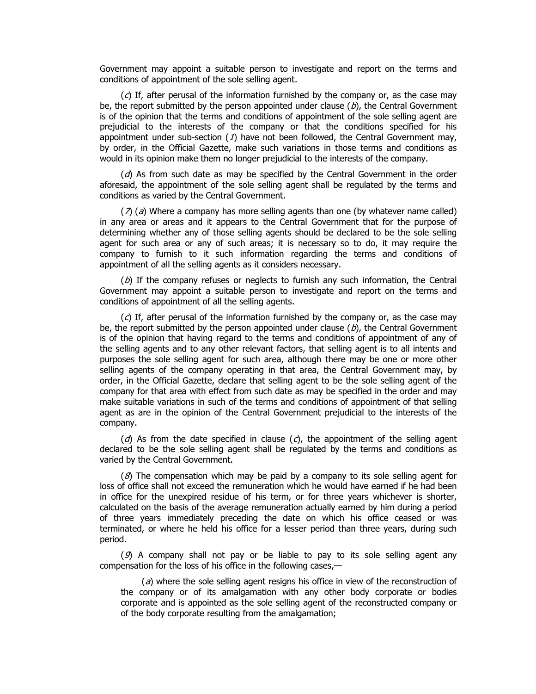Government may appoint a suitable person to investigate and report on the terms and conditions of appointment of the sole selling agent.

 $\Gamma(\mathcal{C})$  If, after perusal of the information furnished by the company or, as the case may be, the report submitted by the person appointed under clause  $(b)$ , the Central Government is of the opinion that the terms and conditions of appointment of the sole selling agent are prejudicial to the interests of the company or that the conditions specified for his appointment under sub-section  $(1)$  have not been followed, the Central Government may, by order, in the Official Gazette, make such variations in those terms and conditions as would in its opinion make them no longer prejudicial to the interests of the company.

 $(d)$  As from such date as may be specified by the Central Government in the order aforesaid, the appointment of the sole selling agent shall be regulated by the terms and conditions as varied by the Central Government.

 $\langle \lambda \rangle$  (a) Where a company has more selling agents than one (by whatever name called) in any area or areas and it appears to the Central Government that for the purpose of determining whether any of those selling agents should be declared to be the sole selling agent for such area or any of such areas; it is necessary so to do, it may require the company to furnish to it such information regarding the terms and conditions of appointment of all the selling agents as it considers necessary.

 $(b)$  If the company refuses or neglects to furnish any such information, the Central Government may appoint a suitable person to investigate and report on the terms and conditions of appointment of all the selling agents.

 $\Gamma(\mathcal{C})$  If, after perusal of the information furnished by the company or, as the case may be, the report submitted by the person appointed under clause ( $b$ ), the Central Government is of the opinion that having regard to the terms and conditions of appointment of any of the selling agents and to any other relevant factors, that selling agent is to all intents and purposes the sole selling agent for such area, although there may be one or more other selling agents of the company operating in that area, the Central Government may, by order, in the Official Gazette, declare that selling agent to be the sole selling agent of the company for that area with effect from such date as may be specified in the order and may make suitable variations in such of the terms and conditions of appointment of that selling agent as are in the opinion of the Central Government prejudicial to the interests of the company.

 $(d)$  As from the date specified in clause  $(d)$ , the appointment of the selling agent declared to be the sole selling agent shall be regulated by the terms and conditions as varied by the Central Government.

 $(8)$  The compensation which may be paid by a company to its sole selling agent for loss of office shall not exceed the remuneration which he would have earned if he had been in office for the unexpired residue of his term, or for three years whichever is shorter, calculated on the basis of the average remuneration actually earned by him during a period of three years immediately preceding the date on which his office ceased or was terminated, or where he held his office for a lesser period than three years, during such period.

 $(9)$  A company shall not pay or be liable to pay to its sole selling agent any compensation for the loss of his office in the following cases, $-$ 

 $\alpha$ ) where the sole selling agent resigns his office in view of the reconstruction of the company or of its amalgamation with any other body corporate or bodies corporate and is appointed as the sole selling agent of the reconstructed company or of the body corporate resulting from the amalgamation: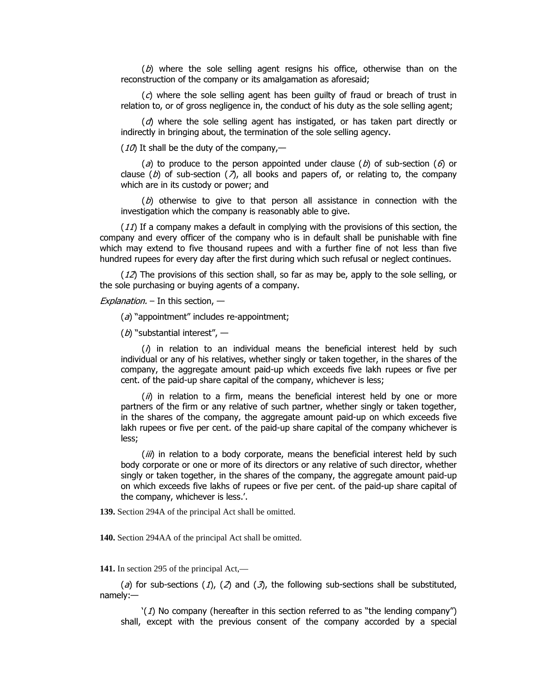$(b)$  where the sole selling agent resigns his office, otherwise than on the reconstruction of the company or its amalgamation as aforesaid;

 $\sigma$  where the sole selling agent has been quilty of fraud or breach of trust in relation to, or of gross negligence in, the conduct of his duty as the sole selling agent;

 $\alpha$  where the sole selling agent has instigated, or has taken part directly or indirectly in bringing about, the termination of the sole selling agency.

(10) It shall be the duty of the company,—

(a) to produce to the person appointed under clause (b) of sub-section (6) or clause (b) of sub-section ( $\lambda$ ), all books and papers of, or relating to, the company which are in its custody or power; and

 $(b)$  otherwise to give to that person all assistance in connection with the investigation which the company is reasonably able to give.

 $(11)$  If a company makes a default in complying with the provisions of this section, the company and every officer of the company who is in default shall be punishable with fine which may extend to five thousand rupees and with a further fine of not less than five hundred rupees for every day after the first during which such refusal or neglect continues.

 $(12)$  The provisions of this section shall, so far as may be, apply to the sole selling, or the sole purchasing or buying agents of a company.

Explanation.  $-$  In this section,  $-$ 

 $(a)$  "appointment" includes re-appointment;

 $(b)$  "substantial interest",  $-$ 

 $(\Lambda)$  in relation to an individual means the beneficial interest held by such individual or any of his relatives, whether singly or taken together, in the shares of the company, the aggregate amount paid-up which exceeds five lakh rupees or five per cent. of the paid-up share capital of the company, whichever is less;

 $\langle h \rangle$  in relation to a firm, means the beneficial interest held by one or more partners of the firm or any relative of such partner, whether singly or taken together, in the shares of the company, the aggregate amount paid-up on which exceeds five lakh rupees or five per cent. of the paid-up share capital of the company whichever is less;

 $\langle iii \rangle$  in relation to a body corporate, means the beneficial interest held by such body corporate or one or more of its directors or any relative of such director, whether singly or taken together, in the shares of the company, the aggregate amount paid-up on which exceeds five lakhs of rupees or five per cent. of the paid-up share capital of the company, whichever is less.'.

**139.** Section 294A of the principal Act shall be omitted.

**140.** Section 294AA of the principal Act shall be omitted.

**141.** In section 295 of the principal Act,—

(a) for sub-sections (1), (2) and (3), the following sub-sections shall be substituted, namely:-

 $'(1)$  No company (hereafter in this section referred to as "the lending company") shall, except with the previous consent of the company accorded by a special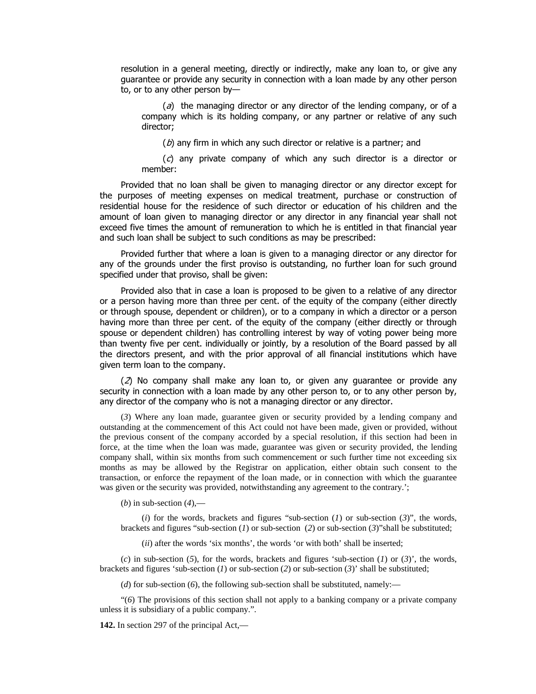resolution in a general meeting, directly or indirectly, make any loan to, or give any quarantee or provide any security in connection with a loan made by any other person to, or to any other person by-

 $\partial(\vec{\theta})$  the managing director or any director of the lending company, or of a company which is its holding company, or any partner or relative of any such director:

 $(b)$  any firm in which any such director or relative is a partner; and

 $f(c)$  any private company of which any such director is a director or member:

Provided that no loan shall be given to managing director or any director except for the purposes of meeting expenses on medical treatment, purchase or construction of residential house for the residence of such director or education of his children and the amount of loan given to managing director or any director in any financial year shall not exceed five times the amount of remuneration to which he is entitled in that financial year and such loan shall be subject to such conditions as may be prescribed:

Provided further that where a loan is given to a managing director or any director for any of the grounds under the first proviso is outstanding, no further loan for such ground specified under that proviso, shall be given:

Provided also that in case a loan is proposed to be given to a relative of any director or a person having more than three per cent. of the equity of the company (either directly or through spouse, dependent or children), or to a company in which a director or a person having more than three per cent. of the equity of the company (either directly or through spouse or dependent children) has controlling interest by way of voting power being more than twenty five per cent. individually or jointly, by a resolution of the Board passed by all the directors present, and with the prior approval of all financial institutions which have given term loan to the company.

 $(2)$  No company shall make any loan to, or given any guarantee or provide any security in connection with a loan made by any other person to, or to any other person by, any director of the company who is not a managing director or any director.

(*3*) Where any loan made, guarantee given or security provided by a lending company and outstanding at the commencement of this Act could not have been made, given or provided, without the previous consent of the company accorded by a special resolution, if this section had been in force, at the time when the loan was made, guarantee was given or security provided, the lending company shall, within six months from such commencement or such further time not exceeding six months as may be allowed by the Registrar on application, either obtain such consent to the transaction, or enforce the repayment of the loan made, or in connection with which the guarantee was given or the security was provided, notwithstanding any agreement to the contrary.';

(*b*) in sub-section (*4*),—

(*i*) for the words, brackets and figures "sub-section  $(1)$  or sub-section  $(3)$ ", the words, brackets and figures "sub-section (*1*) or sub-section (*2*) or sub-section (*3*)"shall be substituted;

(*ii*) after the words 'six months', the words 'or with both' shall be inserted;

(*c*) in sub-section (*5*), for the words, brackets and figures 'sub-section (*1*) or (*3*)', the words, brackets and figures 'sub-section (*1*) or sub-section (*2*) or sub-section (*3*)' shall be substituted;

(*d*) for sub-section (*6*), the following sub-section shall be substituted, namely:—

"(*6*) The provisions of this section shall not apply to a banking company or a private company unless it is subsidiary of a public company.".

**142.** In section 297 of the principal Act,—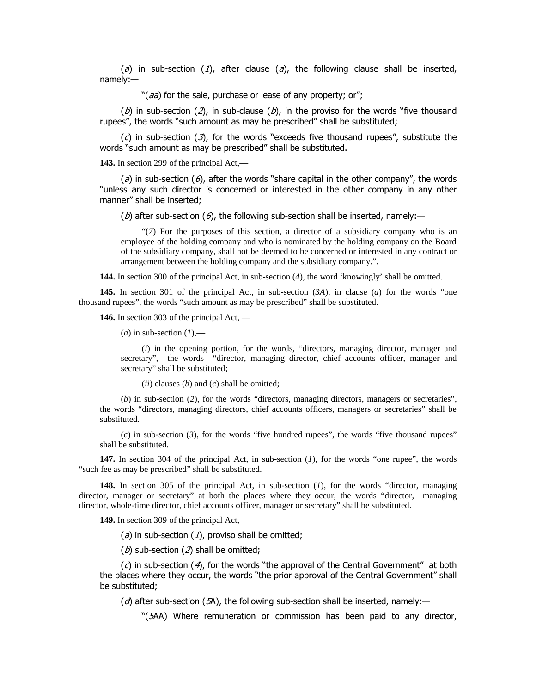(a) in sub-section (1), after clause (a), the following clause shall be inserted,  $namely:$ 

"( $aa$ ) for the sale, purchase or lease of any property; or";

(b) in sub-section (2), in sub-clause (b), in the proviso for the words "five thousand rupees", the words "such amount as may be prescribed" shall be substituted;

 $(c)$  in sub-section  $(3)$ , for the words "exceeds five thousand rupees", substitute the words "such amount as may be prescribed" shall be substituted.

**143.** In section 299 of the principal Act,—

(a) in sub-section (6), after the words "share capital in the other company", the words "unless anv such director is concerned or interested in the other company in any other manner" shall be inserted:

(b) after sub-section (6), the following sub-section shall be inserted, namely:—

"(*7*) For the purposes of this section, a director of a subsidiary company who is an employee of the holding company and who is nominated by the holding company on the Board of the subsidiary company, shall not be deemed to be concerned or interested in any contract or arrangement between the holding company and the subsidiary company.".

**144.** In section 300 of the principal Act, in sub-section (*4*), the word 'knowingly' shall be omitted.

**145.** In section 301 of the principal Act, in sub-section (*3A*), in clause (*a*) for the words "one thousand rupees", the words "such amount as may be prescribed" shall be substituted.

**146.** In section 303 of the principal Act, —

 $(a)$  in sub-section  $(1)$ ,—

(*i*) in the opening portion, for the words, "directors, managing director, manager and secretary", the words "director, managing director, chief accounts officer, manager and secretary" shall be substituted;

(*ii*) clauses (*b*) and (*c*) shall be omitted;

(*b*) in sub-section (*2*), for the words "directors, managing directors, managers or secretaries", the words "directors, managing directors, chief accounts officers, managers or secretaries" shall be substituted.

(*c*) in sub-section (*3*), for the words "five hundred rupees", the words "five thousand rupees" shall be substituted.

**147.** In section 304 of the principal Act, in sub-section (*1*), for the words "one rupee", the words "such fee as may be prescribed" shall be substituted.

**148.** In section 305 of the principal Act, in sub-section (*1*), for the words "director, managing director, manager or secretary" at both the places where they occur, the words "director, managing director, whole-time director, chief accounts officer, manager or secretary" shall be substituted.

**149.** In section 309 of the principal Act,—

( $a$ ) in sub-section ( $1$ ), proviso shall be omitted;

 $(b)$  sub-section  $(2)$  shall be omitted;

 $(c)$  in sub-section (4), for the words "the approval of the Central Government" at both the places where they occur, the words "the prior approval of the Central Government" shall be substituted;

 $\alpha$  after sub-section (5A), the following sub-section shall be inserted, namely:

"(5AA) Where remuneration or commission has been paid to any director,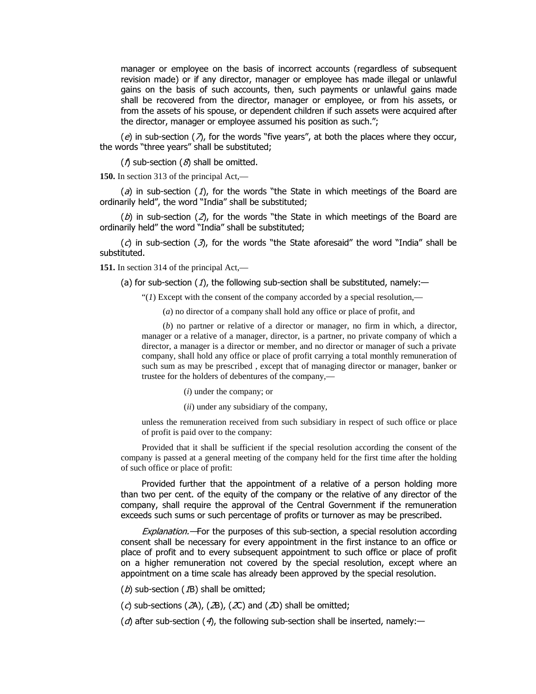manager or employee on the basis of incorrect accounts (regardless of subsequent revision made) or if any director, manager or employee has made illegal or unlawful gains on the basis of such accounts, then, such payments or unlawful gains made shall be recovered from the director, manager or employee, or from his assets, or from the assets of his spouse, or dependent children if such assets were acquired after the director, manager or employee assumed his position as such.";

(e) in sub-section ( $\lambda$ ), for the words "five years", at both the places where they occur, the words "three years" shall be substituted;

 $(\Lambda)$  sub-section  $(\mathcal{S})$  shall be omitted.

**150.** In section 313 of the principal Act,—

(a) in sub-section (1), for the words "the State in which meetings of the Board are ordinarily held", the word "India" shall be substituted;

(b) in sub-section (2), for the words "the State in which meetings of the Board are ordinarily held" the word "India" shall be substituted;

 $(c)$  in sub-section  $(\mathcal{I})$ , for the words "the State aforesaid" the word "India" shall be substituted.

**151.** In section 314 of the principal Act,—

(a) for sub-section (1), the following sub-section shall be substituted, namely:—

"(*1*) Except with the consent of the company accorded by a special resolution,—

(*a*) no director of a company shall hold any office or place of profit, and

(*b*) no partner or relative of a director or manager, no firm in which, a director, manager or a relative of a manager, director, is a partner, no private company of which a director, a manager is a director or member, and no director or manager of such a private company, shall hold any office or place of profit carrying a total monthly remuneration of such sum as may be prescribed , except that of managing director or manager, banker or trustee for the holders of debentures of the company,—

(*i*) under the company; or

(*ii*) under any subsidiary of the company,

unless the remuneration received from such subsidiary in respect of such office or place of profit is paid over to the company:

Provided that it shall be sufficient if the special resolution according the consent of the company is passed at a general meeting of the company held for the first time after the holding of such office or place of profit:

Provided further that the appointment of a relative of a person holding more than two per cent. of the equity of the company or the relative of any director of the company, shall require the approval of the Central Government if the remuneration exceeds such sums or such percentage of profits or turnover as may be prescribed.

Explanation. - For the purposes of this sub-section, a special resolution according consent shall be necessary for every appointment in the first instance to an office or place of profit and to every subsequent appointment to such office or place of profit on a higher remuneration not covered by the special resolution, except where an appointment on a time scale has already been approved by the special resolution.

 $(b)$  sub-section ( $1B$ ) shall be omitted;

(c) sub-sections (2A), (2B), (2C) and (2D) shall be omitted;

 $\partial$  after sub-section  $\partial$ , the following sub-section shall be inserted, namely:—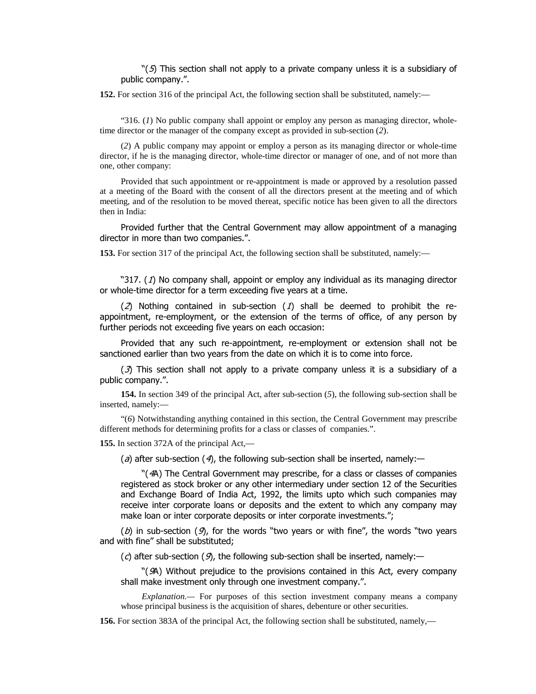" $(5)$  This section shall not apply to a private company unless it is a subsidiary of public company.".

**152.** For section 316 of the principal Act, the following section shall be substituted, namely:—

"316. (*1*) No public company shall appoint or employ any person as managing director, wholetime director or the manager of the company except as provided in sub-section (*2*).

(*2*) A public company may appoint or employ a person as its managing director or whole-time director, if he is the managing director, whole-time director or manager of one, and of not more than one, other company:

Provided that such appointment or re-appointment is made or approved by a resolution passed at a meeting of the Board with the consent of all the directors present at the meeting and of which meeting, and of the resolution to be moved thereat, specific notice has been given to all the directors then in India:

Provided further that the Central Government may allow appointment of a managing director in more than two companies.".

**153.** For section 317 of the principal Act, the following section shall be substituted, namely:—

"317.  $(1)$  No company shall, appoint or employ any individual as its managing director or whole-time director for a term exceeding five years at a time.

 $(2)$  Nothing contained in sub-section (1) shall be deemed to prohibit the reappointment, re-employment, or the extension of the terms of office, of any person by further periods not exceeding five years on each occasion:

Provided that any such re-appointment, re-employment or extension shall not be sanctioned earlier than two years from the date on which it is to come into force.

 $(3)$  This section shall not apply to a private company unless it is a subsidiary of a public company.".

**154.** In section 349 of the principal Act, after sub-section (*5*), the following sub-section shall be inserted, namely:—

"(*6*) Notwithstanding anything contained in this section, the Central Government may prescribe different methods for determining profits for a class or classes of companies.".

**155.** In section 372A of the principal Act,—

(a) after sub-section (4), the following sub-section shall be inserted, namely:—

 $\degree$ (4A) The Central Government may prescribe, for a class or classes of companies registered as stock broker or any other intermediary under section 12 of the Securities and Exchange Board of India Act, 1992, the limits upto which such companies may receive inter corporate loans or deposits and the extent to which any company may make loan or inter corporate deposits or inter corporate investments.";

(b) in sub-section (9), for the words "two years or with fine", the words "two years and with fine" shall be substituted;

 $\Gamma(\mathcal{C})$  after sub-section (9), the following sub-section shall be inserted, namely:—

 $\mathcal{L}(\mathcal{A})$  Without prejudice to the provisions contained in this Act, every company shall make investment only through one investment company.".

*Explanation.—* For purposes of this section investment company means a company whose principal business is the acquisition of shares, debenture or other securities.

**156.** For section 383A of the principal Act, the following section shall be substituted, namely,—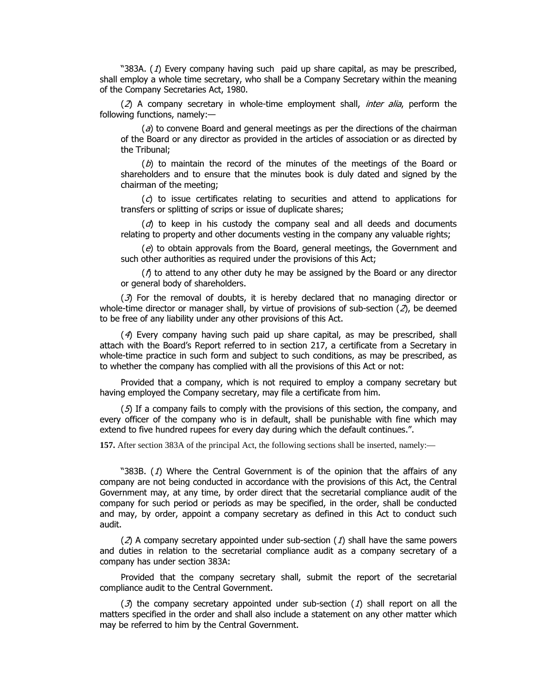"383A.  $(1)$  Every company having such paid up share capital, as may be prescribed, shall employ a whole time secretary, who shall be a Company Secretary within the meaning of the Company Secretaries Act, 1980.

 $(2)$  A company secretary in whole-time employment shall, *inter alia*, perform the following functions, namely: $-$ 

 $\alpha$ ) to convene Board and general meetings as per the directions of the chairman of the Board or any director as provided in the articles of association or as directed by the Tribunal;

 $(b)$  to maintain the record of the minutes of the meetings of the Board or shareholders and to ensure that the minutes book is duly dated and signed by the chairman of the meeting:

 $(c)$  to issue certificates relating to securities and attend to applications for transfers or splitting of scrips or issue of duplicate shares;

 $\langle d \rangle$  to keep in his custody the company seal and all deeds and documents relating to property and other documents vesting in the company any valuable rights;

 $(e)$  to obtain approvals from the Board, general meetings, the Government and such other authorities as required under the provisions of this Act;

 $\int$  to attend to any other duty he may be assigned by the Board or any director or general body of shareholders.

 $(3)$  For the removal of doubts, it is hereby declared that no managing director or whole-time director or manager shall, by virtue of provisions of sub-section  $(2)$ , be deemed to be free of any liability under any other provisions of this Act.

(4) Every company having such paid up share capital, as may be prescribed, shall attach with the Board's Report referred to in section 217, a certificate from a Secretary in whole-time practice in such form and subject to such conditions, as may be prescribed, as to whether the company has complied with all the provisions of this Act or not:

Provided that a company, which is not required to employ a company secretary but having employed the Company secretary, may file a certificate from him.

 $(5)$  If a company fails to comply with the provisions of this section, the company, and every officer of the company who is in default, shall be punishable with fine which may extend to five hundred rupees for every day during which the default continues.".

**157.** After section 383A of the principal Act, the following sections shall be inserted, namely:—

"383B.  $(1)$  Where the Central Government is of the opinion that the affairs of any company are not being conducted in accordance with the provisions of this Act, the Central Government may, at any time, by order direct that the secretarial compliance audit of the company for such period or periods as may be specified, in the order, shall be conducted and may, by order, appoint a company secretary as defined in this Act to conduct such audit.

(2) A company secretary appointed under sub-section (1) shall have the same powers and duties in relation to the secretarial compliance audit as a company secretary of a company has under section 383A:

Provided that the company secretary shall, submit the report of the secretarial compliance audit to the Central Government.

(3) the company secretary appointed under sub-section (1) shall report on all the matters specified in the order and shall also include a statement on any other matter which may be referred to him by the Central Government.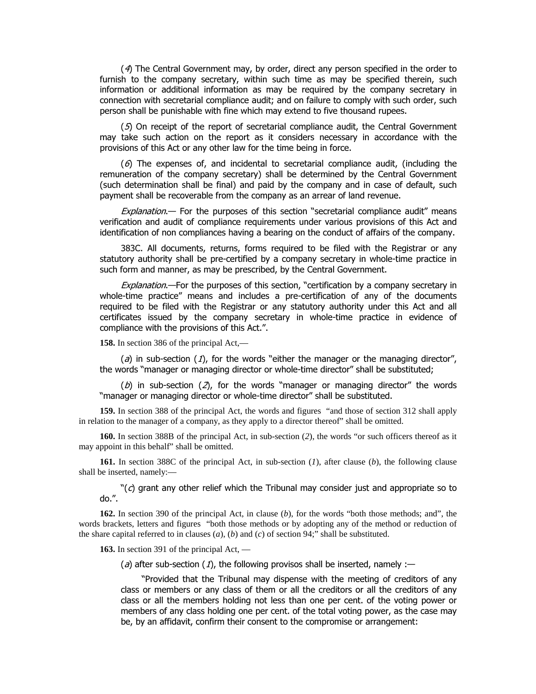(4) The Central Government may, by order, direct any person specified in the order to furnish to the company secretary, within such time as may be specified therein, such information or additional information as may be required by the company secretary in connection with secretarial compliance audit; and on failure to comply with such order, such person shall be punishable with fine which may extend to five thousand rupees.

 $(5)$  On receipt of the report of secretarial compliance audit, the Central Government may take such action on the report as it considers necessary in accordance with the provisions of this Act or any other law for the time being in force.

 $(6)$  The expenses of, and incidental to secretarial compliance audit, (including the remuneration of the company secretary) shall be determined by the Central Government (such determination shall be final) and paid by the company and in case of default, such payment shall be recoverable from the company as an arrear of land revenue.

Explanation. For the purposes of this section "secretarial compliance audit" means verification and audit of compliance requirements under various provisions of this Act and identification of non compliances having a bearing on the conduct of affairs of the company.

383C. All documents, returns, forms required to be filed with the Registrar or any statutory authority shall be pre-certified by a company secretary in whole-time practice in such form and manner, as may be prescribed, by the Central Government.

Explanation.—For the purposes of this section, "certification by a company secretary in whole-time practice" means and includes a pre-certification of any of the documents required to be filed with the Registrar or any statutory authority under this Act and all certificates issued by the company secretary in whole-time practice in evidence of compliance with the provisions of this Act.".

**158.** In section 386 of the principal Act,—

(a) in sub-section (1), for the words "either the manager or the managing director", the words "manager or managing director or whole-time director" shall be substituted;

(b) in sub-section (2), for the words "manager or managing director" the words "manager or managing director or whole-time director" shall be substituted.

**159.** In section 388 of the principal Act, the words and figures "and those of section 312 shall apply in relation to the manager of a company, as they apply to a director thereof" shall be omitted.

**160.** In section 388B of the principal Act, in sub-section (*2*), the words "or such officers thereof as it may appoint in this behalf" shall be omitted.

**161.** In section 388C of the principal Act, in sub-section (*1*), after clause (*b*), the following clause shall be inserted, namely:—

 $\degree$ (c) grant any other relief which the Tribunal may consider just and appropriate so to do.".

**162.** In section 390 of the principal Act, in clause (*b*), for the words "both those methods; and", the words brackets, letters and figures "both those methods or by adopting any of the method or reduction of the share capital referred to in clauses  $(a)$ ,  $(b)$  and  $(c)$  of section 94;" shall be substituted.

**163.** In section 391 of the principal Act, —

(a) after sub-section (1), the following provisos shall be inserted, namely :-

"Provided that the Tribunal may dispense with the meeting of creditors of any class or members or any class of them or all the creditors or all the creditors of any class or all the members holding not less than one per cent. of the voting power or members of any class holding one per cent. of the total voting power, as the case may be, by an affidavit, confirm their consent to the compromise or arrangement: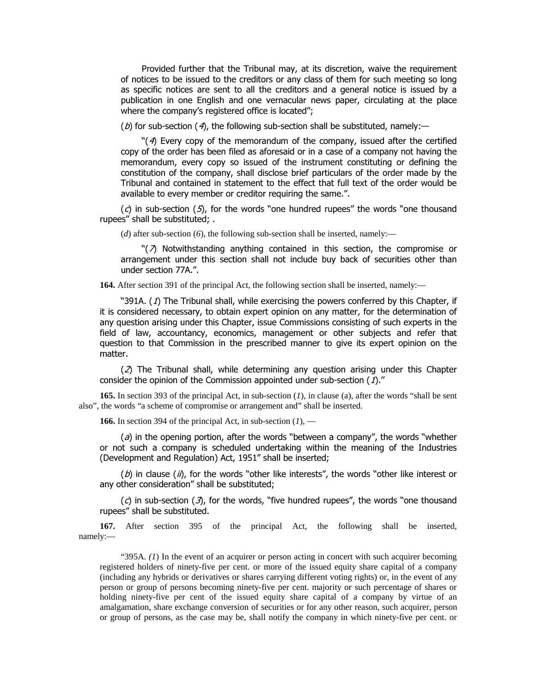Provided further that the Tribunal may, at its discretion, waive the requirement of notices to be issued to the creditors or any class of them for such meeting so long as specific notices are sent to all the creditors and a general notice is issued by a publication in one English and one vernacular news paper, circulating at the place where the company's registered office is located";

(b) for sub-section (4), the following sub-section shall be substituted, namely:—

" $(4)$  Every copy of the memorandum of the company, issued after the certified copy of the order has been filed as aforesaid or in a case of a company not having the memorandum, every copy so issued of the instrument constituting or defining the constitution of the company, shall disclose brief particulars of the order made by the Tribunal and contained in statement to the effect that full text of the order would be available to every member or creditor requiring the same.".

(c) in sub-section  $(5)$ , for the words "one hundred rupees" the words "one thousand rupees" shall be substituted; .

(*d*) after sub-section (*6*), the following sub-section shall be inserted, namely:—

" $\langle \overline{Z} \rangle$  Notwithstanding anything contained in this section, the compromise or arrangement under this section shall not include buy back of securities other than under section 77A.".

**164.** After section 391 of the principal Act, the following section shall be inserted, namely:—

"391A.  $(1)$  The Tribunal shall, while exercising the powers conferred by this Chapter, if it is considered necessary, to obtain expert opinion on any matter, for the determination of any question arising under this Chapter, issue Commissions consisting of such experts in the field of law, accountancy, economics, management or other subjects and refer that question to that Commission in the prescribed manner to give its expert opinion on the matter.

 $(2)$  The Tribunal shall, while determining any question arising under this Chapter consider the opinion of the Commission appointed under sub-section  $(1)$ ."

**165.** In section 393 of the principal Act, in sub-section (*1*), in clause (a), after the words "shall be sent also", the words "a scheme of compromise or arrangement and" shall be inserted.

**166.** In section 394 of the principal Act, in sub-section (*1*), —

(a) in the opening portion, after the words "between a company", the words "whether or not such a company is scheduled undertaking within the meaning of the Industries (Development and Regulation) Act, 1951" shall be inserted;

 $(b)$  in clause (ii), for the words "other like interests", the words "other like interest or any other consideration" shall be substituted;

 $(c)$  in sub-section  $(\mathcal{I})$ , for the words, "five hundred rupees", the words "one thousand rupees" shall be substituted.

**167.** After section 395 of the principal Act, the following shall be inserted, namely:—

" $395A$ . (1) In the event of an acquirer or person acting in concert with such acquirer becoming registered holders of ninety-five per cent. or more of the issued equity share capital of a company (including any hybrids or derivatives or shares carrying different voting rights) or, in the event of any person or group of persons becoming ninety-five per cent. majority or such percentage of shares or holding ninety-five per cent of the issued equity share capital of a company by virtue of an amalgamation, share exchange conversion of securities or for any other reason, such acquirer, person or group of persons, as the case may be, shall notify the company in which ninety-five per cent. or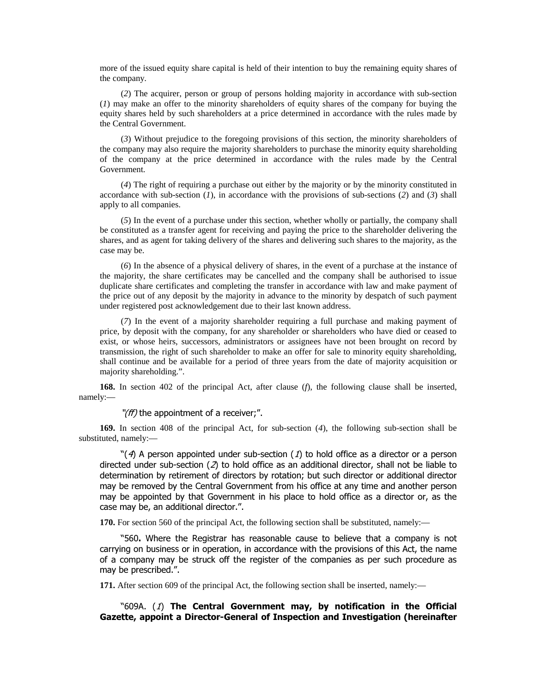more of the issued equity share capital is held of their intention to buy the remaining equity shares of the company.

(*2*) The acquirer, person or group of persons holding majority in accordance with sub-section (*1*) may make an offer to the minority shareholders of equity shares of the company for buying the equity shares held by such shareholders at a price determined in accordance with the rules made by the Central Government.

(*3*) Without prejudice to the foregoing provisions of this section, the minority shareholders of the company may also require the majority shareholders to purchase the minority equity shareholding of the company at the price determined in accordance with the rules made by the Central Government.

(*4*) The right of requiring a purchase out either by the majority or by the minority constituted in accordance with sub-section (*1*), in accordance with the provisions of sub-sections (*2*) and (*3*) shall apply to all companies.

(*5*) In the event of a purchase under this section, whether wholly or partially, the company shall be constituted as a transfer agent for receiving and paying the price to the shareholder delivering the shares, and as agent for taking delivery of the shares and delivering such shares to the majority, as the case may be.

(*6*) In the absence of a physical delivery of shares, in the event of a purchase at the instance of the majority, the share certificates may be cancelled and the company shall be authorised to issue duplicate share certificates and completing the transfer in accordance with law and make payment of the price out of any deposit by the majority in advance to the minority by despatch of such payment under registered post acknowledgement due to their last known address.

(*7*) In the event of a majority shareholder requiring a full purchase and making payment of price, by deposit with the company, for any shareholder or shareholders who have died or ceased to exist, or whose heirs, successors, administrators or assignees have not been brought on record by transmission, the right of such shareholder to make an offer for sale to minority equity shareholding, shall continue and be available for a period of three years from the date of majority acquisition or majority shareholding.".

**168.** In section 402 of the principal Act, after clause (*f*), the following clause shall be inserted, namely:—

 $\mathcal{I}(ff)$  the appointment of a receiver;".

**169.** In section 408 of the principal Act, for sub-section (*4*), the following sub-section shall be substituted, namely:—

" $(4)$  A person appointed under sub-section (1) to hold office as a director or a person directed under sub-section ( $2$ ) to hold office as an additional director, shall not be liable to determination by retirement of directors by rotation; but such director or additional director may be removed by the Central Government from his office at any time and another person may be appointed by that Government in his place to hold office as a director or, as the case may be, an additional director.".

**170.** For section 560 of the principal Act, the following section shall be substituted, namely:—

"560. Where the Registrar has reasonable cause to believe that a company is not carrying on business or in operation, in accordance with the provisions of this Act, the name of a company may be struck off the register of the companies as per such procedure as may be prescribed.".

**171.** After section 609 of the principal Act, the following section shall be inserted, namely:—

"609A. (1) The Central Government may, by notification in the Official Gazette, appoint a Director-General of Inspection and Investigation (hereinafter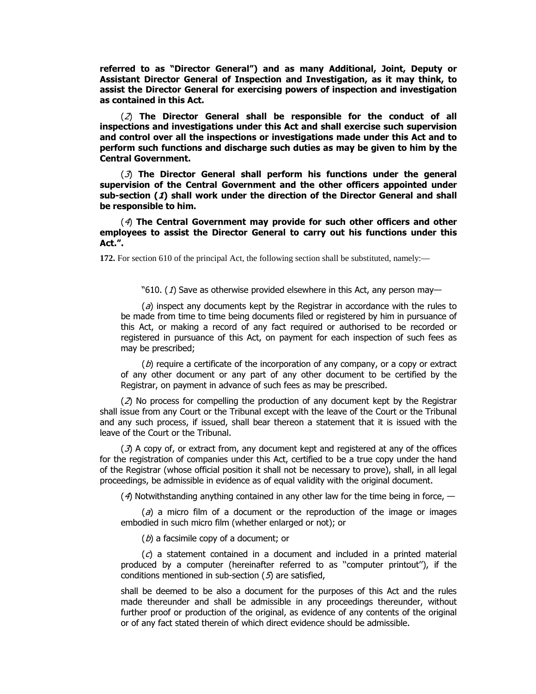referred to as "Director General") and as many Additional, Joint, Deputy or Assistant Director General of Inspection and Investigation, as it may think, to assist the Director General for exercising powers of inspection and investigation as contained in this Act.

(2) The Director General shall be responsible for the conduct of all **Inspections and investigations under this Act and shall exercise such supervision** and control over all the inspections or investigations made under this Act and to perform such functions and discharge such duties as may be given to him by the **Central Government.** 

**(3)** The Director General shall perform his functions under the general supervision of the Central Government and the other officers appointed under sub-section (1) shall work under the direction of the Director General and shall **be responsible to him.** 

(4) The Central Government may provide for such other officers and other employees to assist the Director General to carry out his functions under this **Act.".** 

**172.** For section 610 of the principal Act, the following section shall be substituted, namely:—

"610. (1) Save as otherwise provided elsewhere in this Act, any person may-

 $\Omega$ ) inspect any documents kept by the Registrar in accordance with the rules to be made from time to time being documents filed or registered by him in pursuance of this Act, or making a record of any fact required or authorised to be recorded or registered in pursuance of this Act, on payment for each inspection of such fees as may be prescribed;

 $(D)$  require a certificate of the incorporation of any company, or a copy or extract of any other document or any part of any other document to be certified by the Registrar, on payment in advance of such fees as may be prescribed.

( $2$ ) No process for compelling the production of any document kept by the Registrar shall issue from any Court or the Tribunal except with the leave of the Court or the Tribunal and any such process, if issued, shall bear thereon a statement that it is issued with the leave of the Court or the Tribunal.

 $(3)$  A copy of, or extract from, any document kept and registered at any of the offices for the registration of companies under this Act, certified to be a true copy under the hand of the Registrar (whose official position it shall not be necessary to prove), shall, in all legal proceedings, be admissible in evidence as of equal validity with the original document.

(4) Notwithstanding anything contained in any other law for the time being in force,  $-$ 

 $\sigma$  a micro film of a document or the reproduction of the image or images embodied in such micro film (whether enlarged or not); or

 $(b)$  a facsimile copy of a document; or

 $f(c)$  a statement contained in a document and included in a printed material produced by a computer (hereinafter referred to as "computer printout"), if the conditions mentioned in sub-section  $(5)$  are satisfied,

shall be deemed to be also a document for the purposes of this Act and the rules made thereunder and shall be admissible in any proceedings thereunder, without further proof or production of the original, as evidence of any contents of the original or of any fact stated therein of which direct evidence should be admissible.